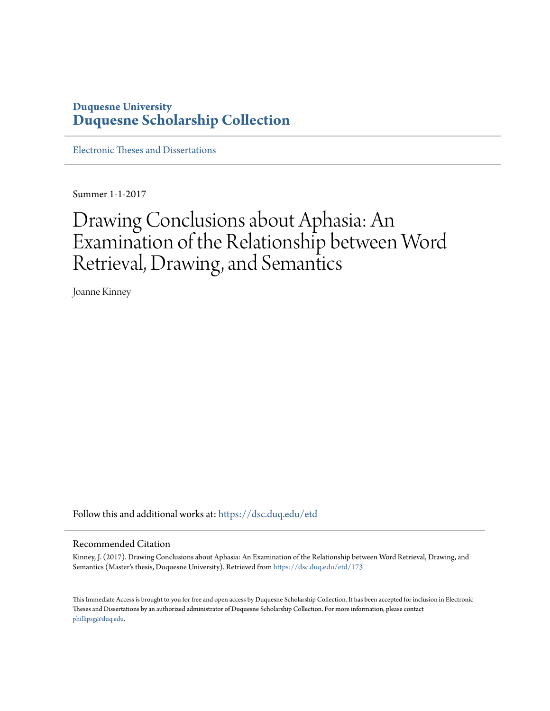# **Duquesne University [Duquesne Scholarship Collection](https://dsc.duq.edu?utm_source=dsc.duq.edu%2Fetd%2F173&utm_medium=PDF&utm_campaign=PDFCoverPages)**

[Electronic Theses and Dissertations](https://dsc.duq.edu/etd?utm_source=dsc.duq.edu%2Fetd%2F173&utm_medium=PDF&utm_campaign=PDFCoverPages)

Summer 1-1-2017

# Drawing Conclusions about Aphasia: An Examination of the Relationship between Word Retrieval, Drawing, and Semantics

Joanne Kinney

Follow this and additional works at: [https://dsc.duq.edu/etd](https://dsc.duq.edu/etd?utm_source=dsc.duq.edu%2Fetd%2F173&utm_medium=PDF&utm_campaign=PDFCoverPages)

#### Recommended Citation

Kinney, J. (2017). Drawing Conclusions about Aphasia: An Examination of the Relationship between Word Retrieval, Drawing, and Semantics (Master's thesis, Duquesne University). Retrieved from [https://dsc.duq.edu/etd/173](https://dsc.duq.edu/etd/173?utm_source=dsc.duq.edu%2Fetd%2F173&utm_medium=PDF&utm_campaign=PDFCoverPages)

This Immediate Access is brought to you for free and open access by Duquesne Scholarship Collection. It has been accepted for inclusion in Electronic Theses and Dissertations by an authorized administrator of Duquesne Scholarship Collection. For more information, please contact [phillipsg@duq.edu.](mailto:phillipsg@duq.edu)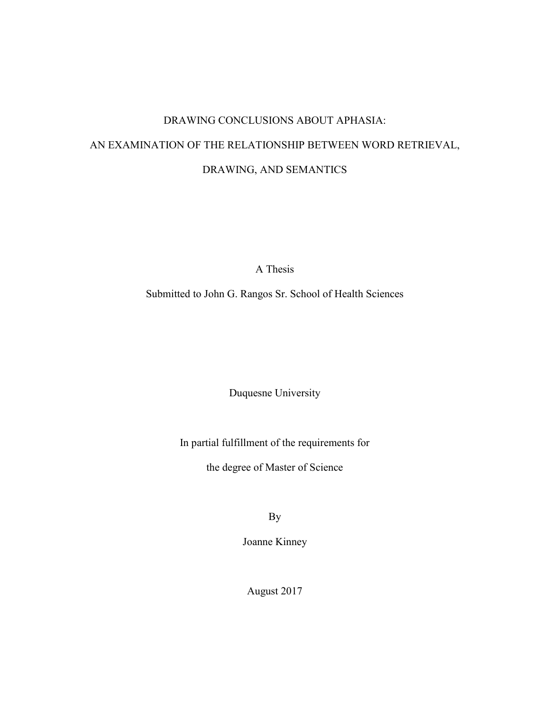# DRAWING CONCLUSIONS ABOUT APHASIA: AN EXAMINATION OF THE RELATIONSHIP BETWEEN WORD RETRIEVAL, DRAWING, AND SEMANTICS

A Thesis

Submitted to John G. Rangos Sr. School of Health Sciences

Duquesne University

In partial fulfillment of the requirements for

the degree of Master of Science

By

Joanne Kinney

August 2017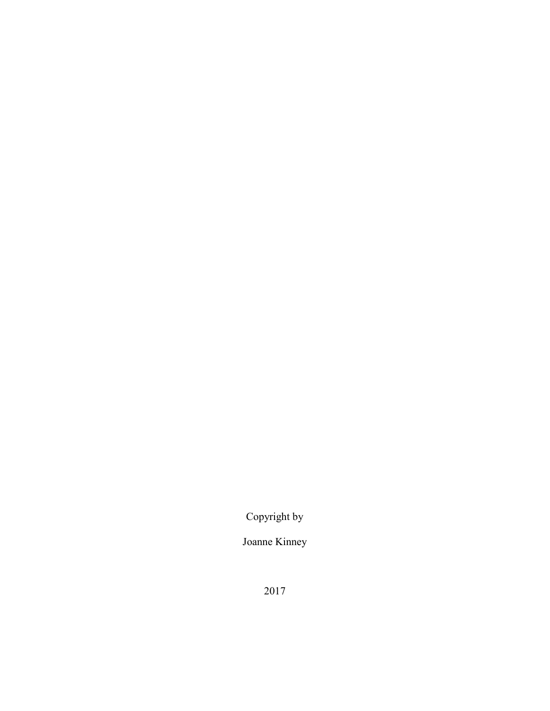Copyright by

Joanne Kinney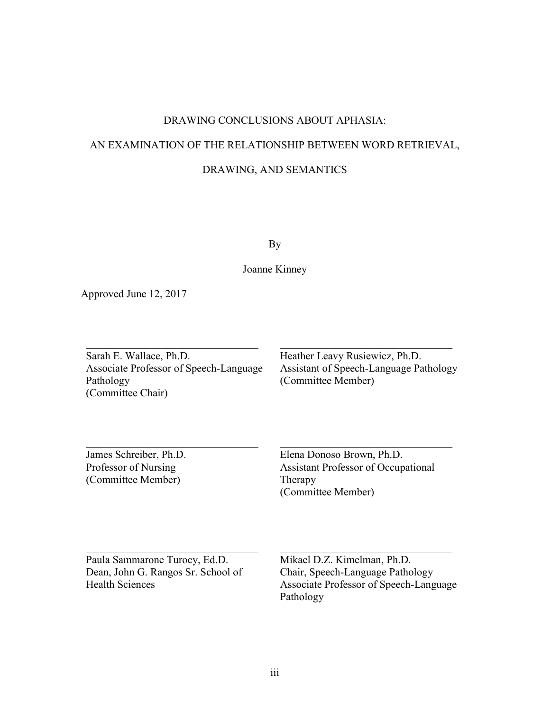## DRAWING CONCLUSIONS ABOUT APHASIA:

# AN EXAMINATION OF THE RELATIONSHIP BETWEEN WORD RETRIEVAL,

## DRAWING, AND SEMANTICS

By

Joanne Kinney

Approved June 12, 2017

Sarah E. Wallace, Ph.D. Associate Professor of Speech-Language Pathology (Committee Chair)

Heather Leavy Rusiewicz, Ph.D. Assistant of Speech-Language Pathology (Committee Member)

James Schreiber, Ph.D. Professor of Nursing (Committee Member)

Elena Donoso Brown, Ph.D. Assistant Professor of Occupational Therapy (Committee Member)

Paula Sammarone Turocy, Ed.D. Dean, John G. Rangos Sr. School of Health Sciences

Mikael D.Z. Kimelman, Ph.D. Chair, Speech-Language Pathology Associate Professor of Speech-Language Pathology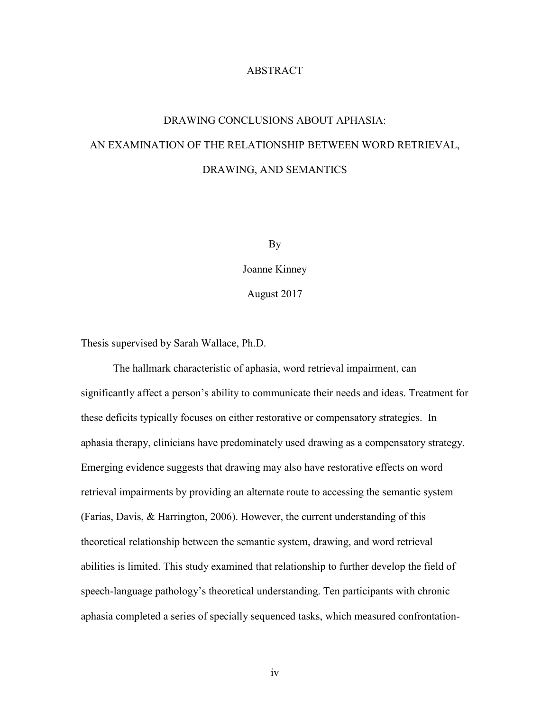## ABSTRACT

# DRAWING CONCLUSIONS ABOUT APHASIA: AN EXAMINATION OF THE RELATIONSHIP BETWEEN WORD RETRIEVAL, DRAWING, AND SEMANTICS

By

Joanne Kinney

August 2017

Thesis supervised by Sarah Wallace, Ph.D.

The hallmark characteristic of aphasia, word retrieval impairment, can significantly affect a person's ability to communicate their needs and ideas. Treatment for these deficits typically focuses on either restorative or compensatory strategies. In aphasia therapy, clinicians have predominately used drawing as a compensatory strategy. Emerging evidence suggests that drawing may also have restorative effects on word retrieval impairments by providing an alternate route to accessing the semantic system (Farias, Davis, & Harrington, 2006). However, the current understanding of this theoretical relationship between the semantic system, drawing, and word retrieval abilities is limited. This study examined that relationship to further develop the field of speech-language pathology's theoretical understanding. Ten participants with chronic aphasia completed a series of specially sequenced tasks, which measured confrontation-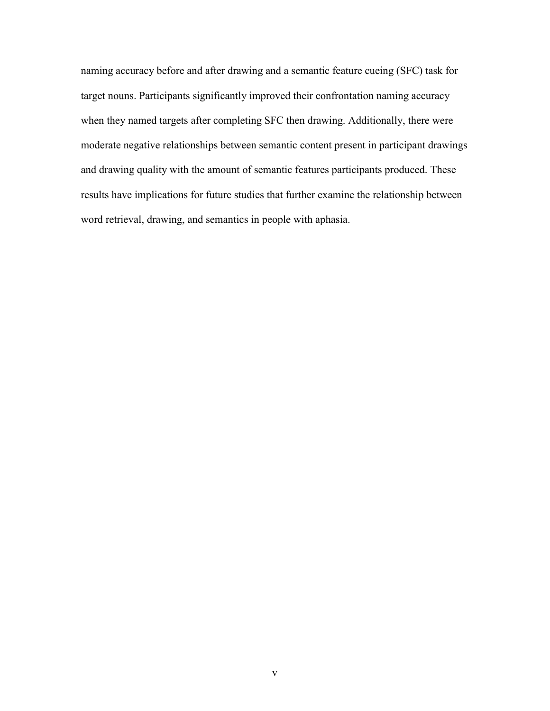naming accuracy before and after drawing and a semantic feature cueing (SFC) task for target nouns. Participants significantly improved their confrontation naming accuracy when they named targets after completing SFC then drawing. Additionally, there were moderate negative relationships between semantic content present in participant drawings and drawing quality with the amount of semantic features participants produced. These results have implications for future studies that further examine the relationship between word retrieval, drawing, and semantics in people with aphasia.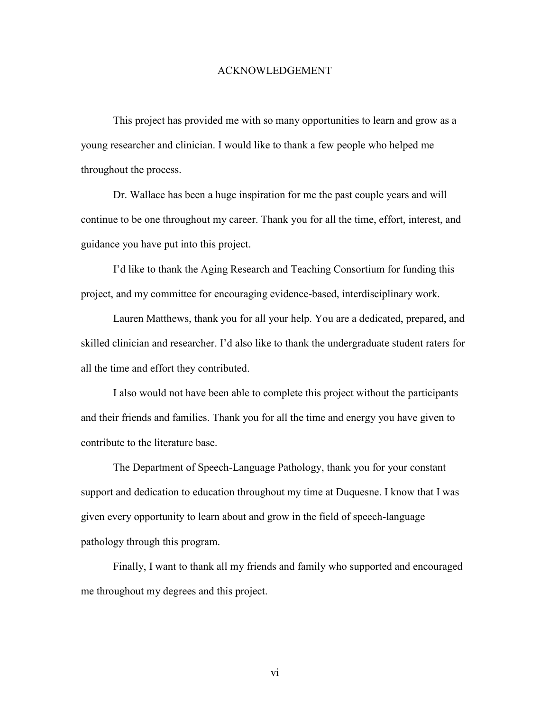#### ACKNOWLEDGEMENT

This project has provided me with so many opportunities to learn and grow as a young researcher and clinician. I would like to thank a few people who helped me throughout the process.

Dr. Wallace has been a huge inspiration for me the past couple years and will continue to be one throughout my career. Thank you for all the time, effort, interest, and guidance you have put into this project.

I'd like to thank the Aging Research and Teaching Consortium for funding this project, and my committee for encouraging evidence-based, interdisciplinary work.

Lauren Matthews, thank you for all your help. You are a dedicated, prepared, and skilled clinician and researcher. I'd also like to thank the undergraduate student raters for all the time and effort they contributed.

I also would not have been able to complete this project without the participants and their friends and families. Thank you for all the time and energy you have given to contribute to the literature base.

The Department of Speech-Language Pathology, thank you for your constant support and dedication to education throughout my time at Duquesne. I know that I was given every opportunity to learn about and grow in the field of speech-language pathology through this program.

Finally, I want to thank all my friends and family who supported and encouraged me throughout my degrees and this project.

vi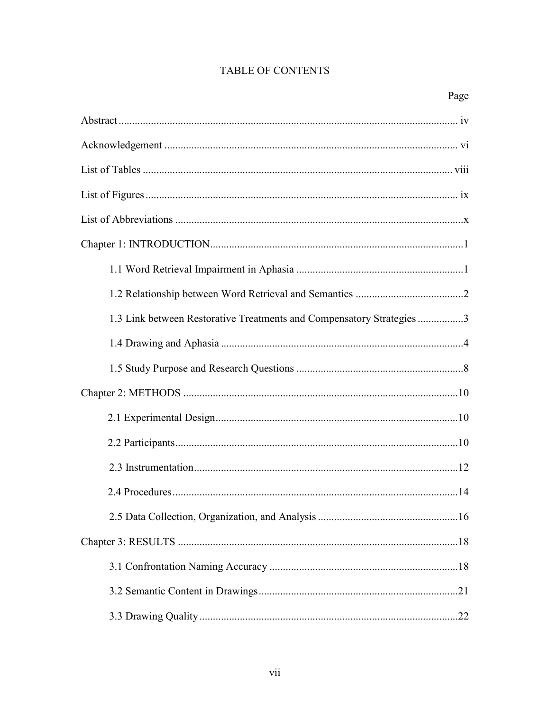# TABLE OF CONTENTS

| 1.3 Link between Restorative Treatments and Compensatory Strategies 3 |
|-----------------------------------------------------------------------|
|                                                                       |
|                                                                       |
|                                                                       |
|                                                                       |
|                                                                       |
|                                                                       |
|                                                                       |
|                                                                       |
|                                                                       |
|                                                                       |
|                                                                       |
|                                                                       |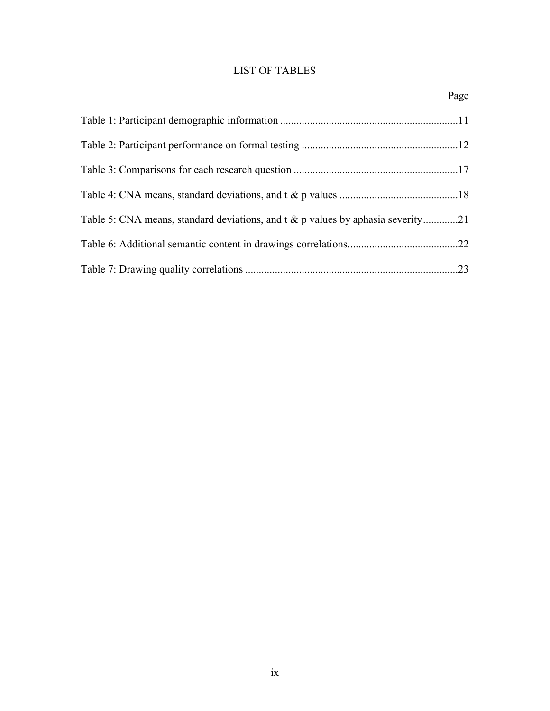# LIST OF TABLES

|                                                                                 | Page |
|---------------------------------------------------------------------------------|------|
|                                                                                 |      |
|                                                                                 |      |
|                                                                                 |      |
|                                                                                 |      |
| Table 5: CNA means, standard deviations, and t & p values by aphasia severity21 |      |
|                                                                                 |      |
|                                                                                 |      |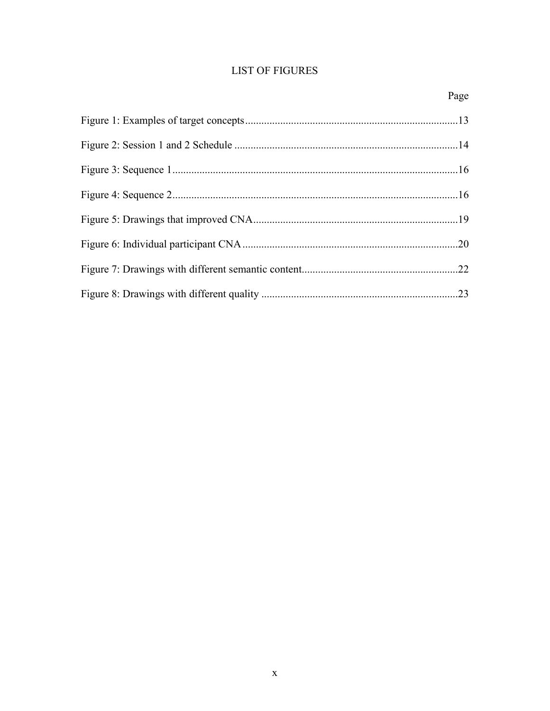# **LIST OF FIGURES**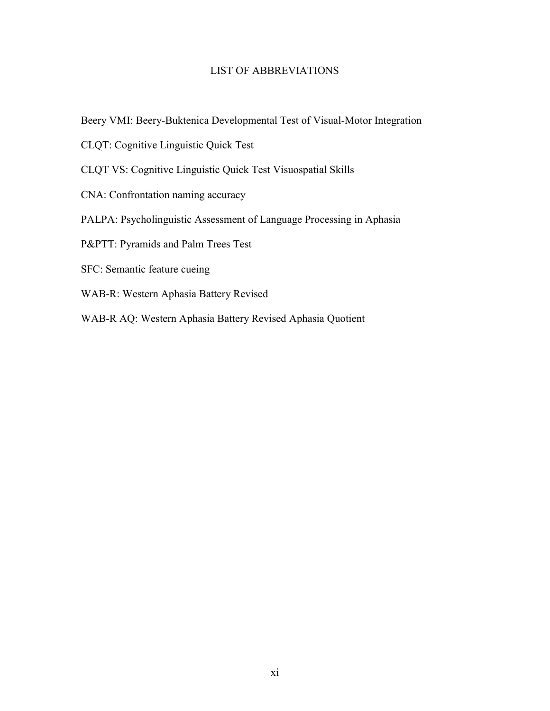## LIST OF ABBREVIATIONS

- Beery VMI: Beery-Buktenica Developmental Test of Visual-Motor Integration
- CLQT: Cognitive Linguistic Quick Test
- CLQT VS: Cognitive Linguistic Quick Test Visuospatial Skills
- CNA: Confrontation naming accuracy
- PALPA: Psycholinguistic Assessment of Language Processing in Aphasia
- P&PTT: Pyramids and Palm Trees Test
- SFC: Semantic feature cueing
- WAB-R: Western Aphasia Battery Revised
- WAB-R AQ: Western Aphasia Battery Revised Aphasia Quotient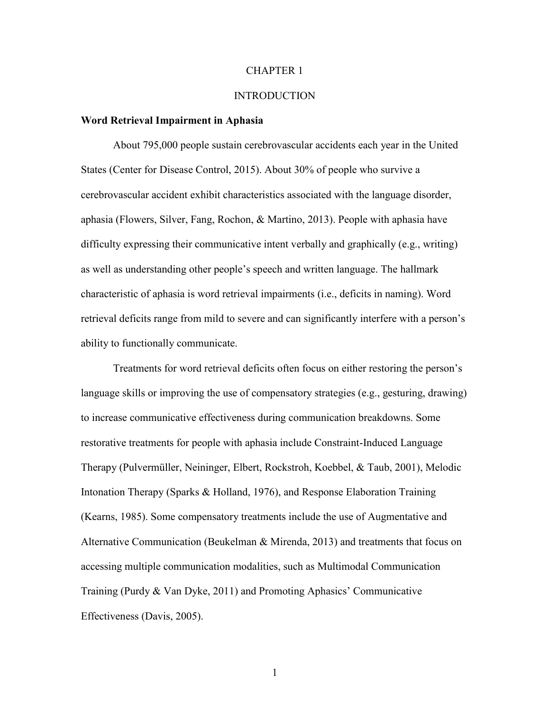#### CHAPTER 1

#### INTRODUCTION

#### **Word Retrieval Impairment in Aphasia**

About 795,000 people sustain cerebrovascular accidents each year in the United States (Center for Disease Control, 2015). About 30% of people who survive a cerebrovascular accident exhibit characteristics associated with the language disorder, aphasia (Flowers, Silver, Fang, Rochon, & Martino, 2013). People with aphasia have difficulty expressing their communicative intent verbally and graphically (e.g., writing) as well as understanding other people's speech and written language. The hallmark characteristic of aphasia is word retrieval impairments (i.e., deficits in naming). Word retrieval deficits range from mild to severe and can significantly interfere with a person's ability to functionally communicate.

Treatments for word retrieval deficits often focus on either restoring the person's language skills or improving the use of compensatory strategies (e.g., gesturing, drawing) to increase communicative effectiveness during communication breakdowns. Some restorative treatments for people with aphasia include Constraint-Induced Language Therapy (Pulvermüller, Neininger, Elbert, Rockstroh, Koebbel, & Taub, 2001), Melodic Intonation Therapy (Sparks & Holland, 1976), and Response Elaboration Training (Kearns, 1985). Some compensatory treatments include the use of Augmentative and Alternative Communication (Beukelman & Mirenda, 2013) and treatments that focus on accessing multiple communication modalities, such as Multimodal Communication Training (Purdy & Van Dyke, 2011) and Promoting Aphasics' Communicative Effectiveness (Davis, 2005).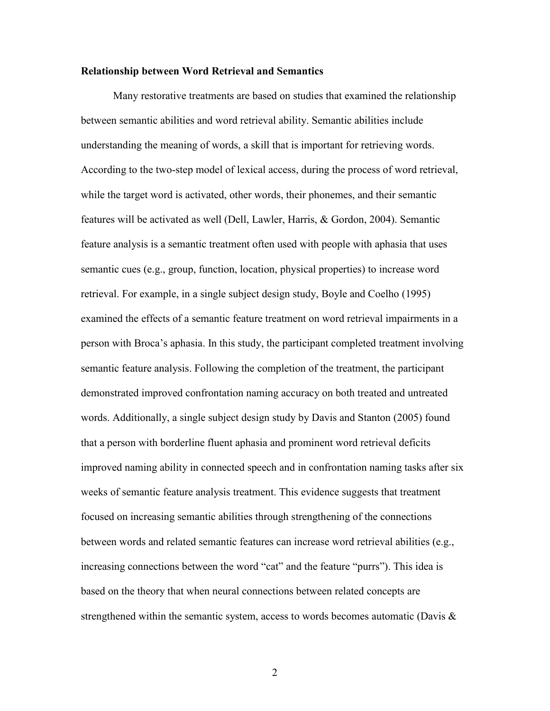#### **Relationship between Word Retrieval and Semantics**

Many restorative treatments are based on studies that examined the relationship between semantic abilities and word retrieval ability. Semantic abilities include understanding the meaning of words, a skill that is important for retrieving words. According to the two-step model of lexical access, during the process of word retrieval, while the target word is activated, other words, their phonemes, and their semantic features will be activated as well (Dell, Lawler, Harris, & Gordon, 2004). Semantic feature analysis is a semantic treatment often used with people with aphasia that uses semantic cues (e.g., group, function, location, physical properties) to increase word retrieval. For example, in a single subject design study, Boyle and Coelho (1995) examined the effects of a semantic feature treatment on word retrieval impairments in a person with Broca's aphasia. In this study, the participant completed treatment involving semantic feature analysis. Following the completion of the treatment, the participant demonstrated improved confrontation naming accuracy on both treated and untreated words. Additionally, a single subject design study by Davis and Stanton (2005) found that a person with borderline fluent aphasia and prominent word retrieval deficits improved naming ability in connected speech and in confrontation naming tasks after six weeks of semantic feature analysis treatment. This evidence suggests that treatment focused on increasing semantic abilities through strengthening of the connections between words and related semantic features can increase word retrieval abilities (e.g., increasing connections between the word "cat" and the feature "purrs"). This idea is based on the theory that when neural connections between related concepts are strengthened within the semantic system, access to words becomes automatic (Davis  $\&$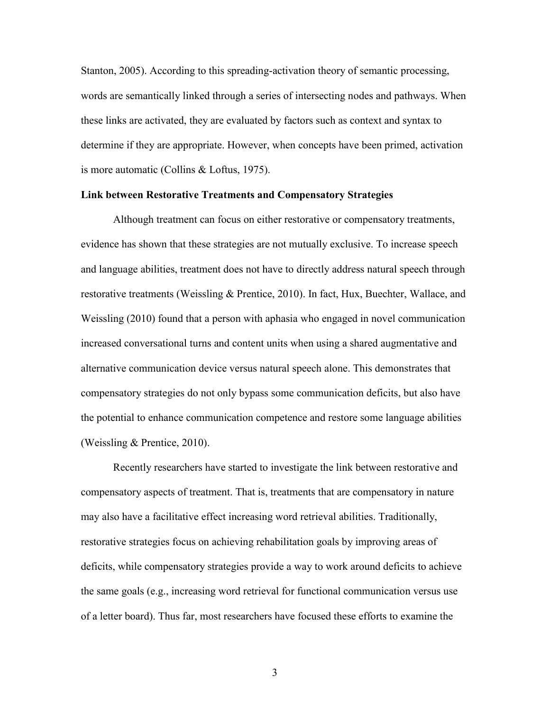Stanton, 2005). According to this spreading-activation theory of semantic processing, words are semantically linked through a series of intersecting nodes and pathways. When these links are activated, they are evaluated by factors such as context and syntax to determine if they are appropriate. However, when concepts have been primed, activation is more automatic (Collins & Loftus, 1975).

#### **Link between Restorative Treatments and Compensatory Strategies**

Although treatment can focus on either restorative or compensatory treatments, evidence has shown that these strategies are not mutually exclusive. To increase speech and language abilities, treatment does not have to directly address natural speech through restorative treatments (Weissling & Prentice, 2010). In fact, Hux, Buechter, Wallace, and Weissling (2010) found that a person with aphasia who engaged in novel communication increased conversational turns and content units when using a shared augmentative and alternative communication device versus natural speech alone. This demonstrates that compensatory strategies do not only bypass some communication deficits, but also have the potential to enhance communication competence and restore some language abilities (Weissling & Prentice, 2010).

Recently researchers have started to investigate the link between restorative and compensatory aspects of treatment. That is, treatments that are compensatory in nature may also have a facilitative effect increasing word retrieval abilities. Traditionally, restorative strategies focus on achieving rehabilitation goals by improving areas of deficits, while compensatory strategies provide a way to work around deficits to achieve the same goals (e.g., increasing word retrieval for functional communication versus use of a letter board). Thus far, most researchers have focused these efforts to examine the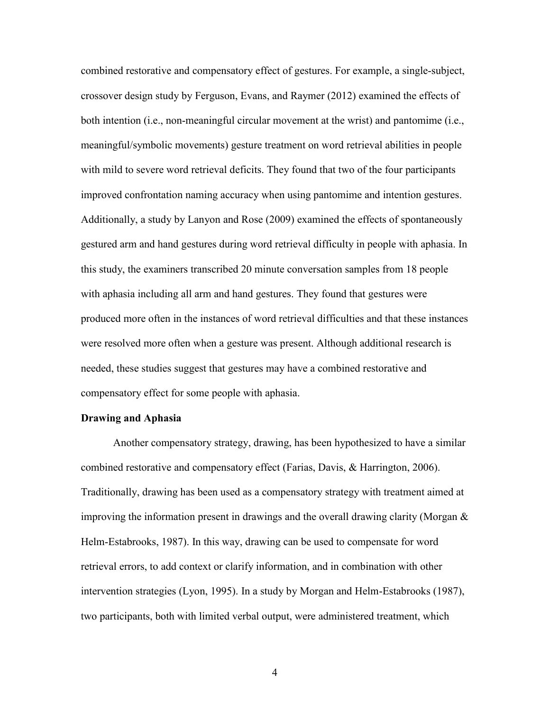combined restorative and compensatory effect of gestures. For example, a single-subject, crossover design study by Ferguson, Evans, and Raymer (2012) examined the effects of both intention (i.e., non-meaningful circular movement at the wrist) and pantomime (i.e., meaningful/symbolic movements) gesture treatment on word retrieval abilities in people with mild to severe word retrieval deficits. They found that two of the four participants improved confrontation naming accuracy when using pantomime and intention gestures. Additionally, a study by Lanyon and Rose (2009) examined the effects of spontaneously gestured arm and hand gestures during word retrieval difficulty in people with aphasia. In this study, the examiners transcribed 20 minute conversation samples from 18 people with aphasia including all arm and hand gestures. They found that gestures were produced more often in the instances of word retrieval difficulties and that these instances were resolved more often when a gesture was present. Although additional research is needed, these studies suggest that gestures may have a combined restorative and compensatory effect for some people with aphasia.

#### **Drawing and Aphasia**

Another compensatory strategy, drawing, has been hypothesized to have a similar combined restorative and compensatory effect (Farias, Davis, & Harrington, 2006). Traditionally, drawing has been used as a compensatory strategy with treatment aimed at improving the information present in drawings and the overall drawing clarity (Morgan  $\&$ Helm-Estabrooks, 1987). In this way, drawing can be used to compensate for word retrieval errors, to add context or clarify information, and in combination with other intervention strategies (Lyon, 1995). In a study by Morgan and Helm-Estabrooks (1987), two participants, both with limited verbal output, were administered treatment, which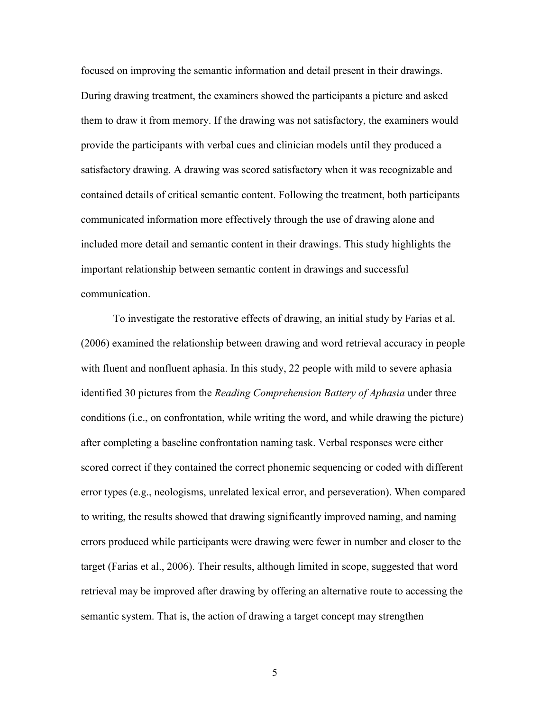focused on improving the semantic information and detail present in their drawings. During drawing treatment, the examiners showed the participants a picture and asked them to draw it from memory. If the drawing was not satisfactory, the examiners would provide the participants with verbal cues and clinician models until they produced a satisfactory drawing. A drawing was scored satisfactory when it was recognizable and contained details of critical semantic content. Following the treatment, both participants communicated information more effectively through the use of drawing alone and included more detail and semantic content in their drawings. This study highlights the important relationship between semantic content in drawings and successful communication.

To investigate the restorative effects of drawing, an initial study by Farias et al. (2006) examined the relationship between drawing and word retrieval accuracy in people with fluent and nonfluent aphasia. In this study, 22 people with mild to severe aphasia identified 30 pictures from the *Reading Comprehension Battery of Aphasia* under three conditions (i.e., on confrontation, while writing the word, and while drawing the picture) after completing a baseline confrontation naming task. Verbal responses were either scored correct if they contained the correct phonemic sequencing or coded with different error types (e.g., neologisms, unrelated lexical error, and perseveration). When compared to writing, the results showed that drawing significantly improved naming, and naming errors produced while participants were drawing were fewer in number and closer to the target (Farias et al., 2006). Their results, although limited in scope, suggested that word retrieval may be improved after drawing by offering an alternative route to accessing the semantic system. That is, the action of drawing a target concept may strengthen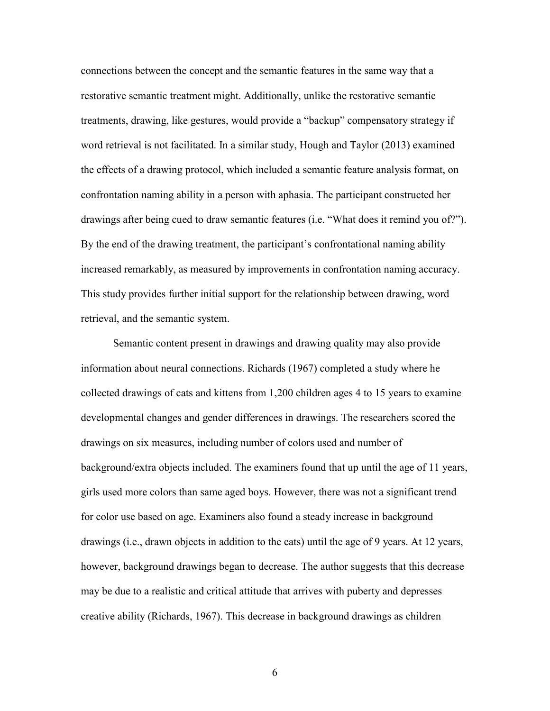connections between the concept and the semantic features in the same way that a restorative semantic treatment might. Additionally, unlike the restorative semantic treatments, drawing, like gestures, would provide a "backup" compensatory strategy if word retrieval is not facilitated. In a similar study, Hough and Taylor (2013) examined the effects of a drawing protocol, which included a semantic feature analysis format, on confrontation naming ability in a person with aphasia. The participant constructed her drawings after being cued to draw semantic features (i.e. "What does it remind you of?"). By the end of the drawing treatment, the participant's confrontational naming ability increased remarkably, as measured by improvements in confrontation naming accuracy. This study provides further initial support for the relationship between drawing, word retrieval, and the semantic system.

Semantic content present in drawings and drawing quality may also provide information about neural connections. Richards (1967) completed a study where he collected drawings of cats and kittens from 1,200 children ages 4 to 15 years to examine developmental changes and gender differences in drawings. The researchers scored the drawings on six measures, including number of colors used and number of background/extra objects included. The examiners found that up until the age of 11 years, girls used more colors than same aged boys. However, there was not a significant trend for color use based on age. Examiners also found a steady increase in background drawings (i.e., drawn objects in addition to the cats) until the age of 9 years. At 12 years, however, background drawings began to decrease. The author suggests that this decrease may be due to a realistic and critical attitude that arrives with puberty and depresses creative ability (Richards, 1967). This decrease in background drawings as children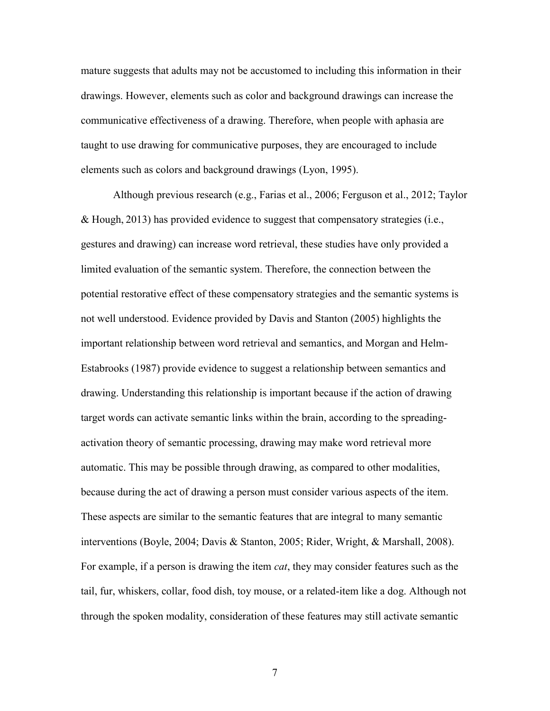mature suggests that adults may not be accustomed to including this information in their drawings. However, elements such as color and background drawings can increase the communicative effectiveness of a drawing. Therefore, when people with aphasia are taught to use drawing for communicative purposes, they are encouraged to include elements such as colors and background drawings (Lyon, 1995).

Although previous research (e.g., Farias et al., 2006; Ferguson et al., 2012; Taylor & Hough, 2013) has provided evidence to suggest that compensatory strategies (i.e., gestures and drawing) can increase word retrieval, these studies have only provided a limited evaluation of the semantic system. Therefore, the connection between the potential restorative effect of these compensatory strategies and the semantic systems is not well understood. Evidence provided by Davis and Stanton (2005) highlights the important relationship between word retrieval and semantics, and Morgan and Helm-Estabrooks (1987) provide evidence to suggest a relationship between semantics and drawing. Understanding this relationship is important because if the action of drawing target words can activate semantic links within the brain, according to the spreadingactivation theory of semantic processing, drawing may make word retrieval more automatic. This may be possible through drawing, as compared to other modalities, because during the act of drawing a person must consider various aspects of the item. These aspects are similar to the semantic features that are integral to many semantic interventions (Boyle, 2004; Davis & Stanton, 2005; Rider, Wright, & Marshall, 2008). For example, if a person is drawing the item *cat*, they may consider features such as the tail, fur, whiskers, collar, food dish, toy mouse, or a related-item like a dog. Although not through the spoken modality, consideration of these features may still activate semantic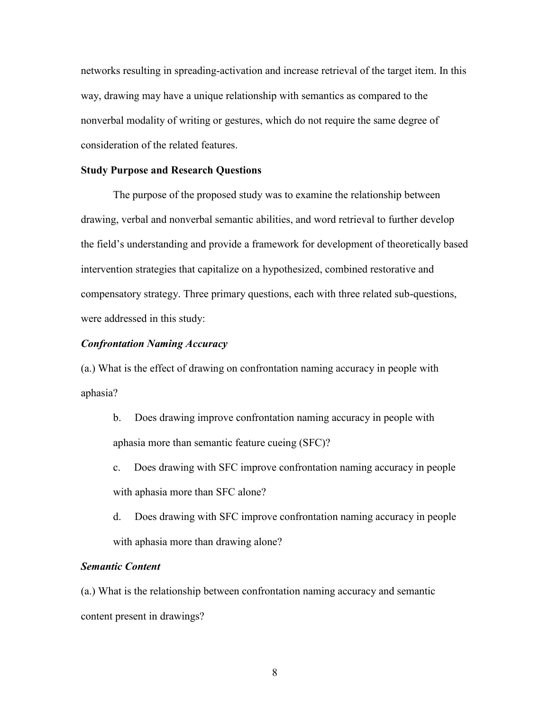networks resulting in spreading-activation and increase retrieval of the target item. In this way, drawing may have a unique relationship with semantics as compared to the nonverbal modality of writing or gestures, which do not require the same degree of consideration of the related features.

#### **Study Purpose and Research Questions**

The purpose of the proposed study was to examine the relationship between drawing, verbal and nonverbal semantic abilities, and word retrieval to further develop the field's understanding and provide a framework for development of theoretically based intervention strategies that capitalize on a hypothesized, combined restorative and compensatory strategy. Three primary questions, each with three related sub-questions, were addressed in this study:

## *Confrontation Naming Accuracy*

(a.) What is the effect of drawing on confrontation naming accuracy in people with aphasia?

- b. Does drawing improve confrontation naming accuracy in people with aphasia more than semantic feature cueing (SFC)?
- c. Does drawing with SFC improve confrontation naming accuracy in people with aphasia more than SFC alone?
- d. Does drawing with SFC improve confrontation naming accuracy in people with aphasia more than drawing alone?

### *Semantic Content*

(a.) What is the relationship between confrontation naming accuracy and semantic content present in drawings?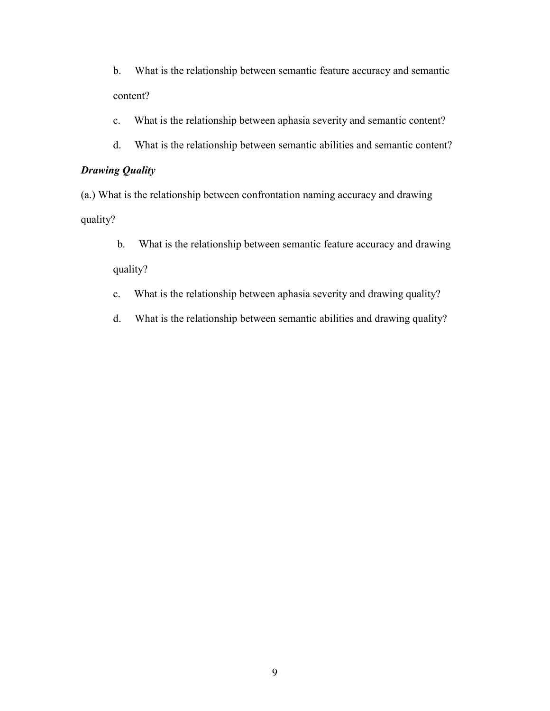b. What is the relationship between semantic feature accuracy and semantic content?

c. What is the relationship between aphasia severity and semantic content?

d. What is the relationship between semantic abilities and semantic content?

## *Drawing Quality*

(a.) What is the relationship between confrontation naming accuracy and drawing quality?

- b. What is the relationship between semantic feature accuracy and drawing quality?
- c. What is the relationship between aphasia severity and drawing quality?
- d. What is the relationship between semantic abilities and drawing quality?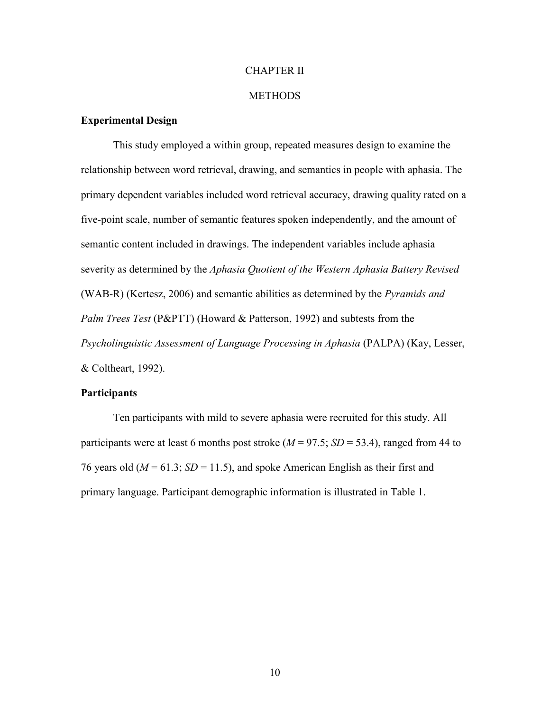#### CHAPTER II

#### **METHODS**

## **Experimental Design**

This study employed a within group, repeated measures design to examine the relationship between word retrieval, drawing, and semantics in people with aphasia. The primary dependent variables included word retrieval accuracy, drawing quality rated on a five-point scale, number of semantic features spoken independently, and the amount of semantic content included in drawings. The independent variables include aphasia severity as determined by the *Aphasia Quotient of the Western Aphasia Battery Revised* (WAB-R) (Kertesz, 2006) and semantic abilities as determined by the *Pyramids and Palm Trees Test* (P&PTT) (Howard & Patterson, 1992) and subtests from the *Psycholinguistic Assessment of Language Processing in Aphasia* (PALPA) (Kay, Lesser, & Coltheart, 1992).

#### **Participants**

Ten participants with mild to severe aphasia were recruited for this study. All participants were at least 6 months post stroke  $(M = 97.5; SD = 53.4)$ , ranged from 44 to 76 years old  $(M = 61.3; SD = 11.5)$ , and spoke American English as their first and primary language. Participant demographic information is illustrated in Table 1.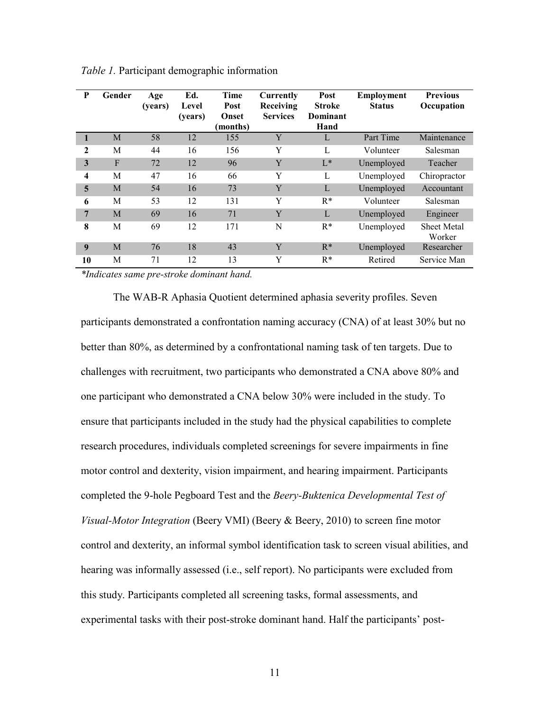| P                       | Gender       | Age<br>(years) | Ed.<br>Level<br>(years) | Time<br>Post<br>Onset<br>(months) | Currently<br>Receiving<br><b>Services</b> | Post<br><b>Stroke</b><br>Dominant<br>Hand | <b>Employment</b><br><b>Status</b> | <b>Previous</b><br>Occupation |
|-------------------------|--------------|----------------|-------------------------|-----------------------------------|-------------------------------------------|-------------------------------------------|------------------------------------|-------------------------------|
| 1                       | M            | 58             | 12                      | 155                               | Y                                         | L                                         | Part Time                          | Maintenance                   |
| $\mathbf{2}$            | M            | 44             | 16                      | 156                               | Y                                         | L                                         | Volunteer                          | Salesman                      |
| 3                       | $\mathbf{F}$ | 72             | 12                      | 96                                | Y                                         | $L^*$                                     | Unemployed                         | Teacher                       |
| $\overline{\mathbf{4}}$ | M            | 47             | 16                      | 66                                | Y                                         | L                                         | Unemployed                         | Chiropractor                  |
| 5                       | M            | 54             | 16                      | 73                                | Y                                         | L                                         | Unemployed                         | Accountant                    |
| 6                       | M            | 53             | 12                      | 131                               | Y                                         | $R^*$                                     | Volunteer                          | Salesman                      |
| 7                       | M            | 69             | 16                      | 71                                | Y                                         | L                                         | Unemployed                         | Engineer                      |
| 8                       | M            | 69             | 12                      | 171                               | N                                         | $R^*$                                     | Unemployed                         | <b>Sheet Metal</b><br>Worker  |
| 9                       | M            | 76             | 18                      | 43                                | Y                                         | $R^*$                                     | Unemployed                         | Researcher                    |
| 10                      | M            | 71             | 12                      | 13                                | Y                                         | $R^*$                                     | Retired                            | Service Man                   |

*Table 1.* Participant demographic information

*\*Indicates same pre-stroke dominant hand.* 

The WAB-R Aphasia Quotient determined aphasia severity profiles. Seven participants demonstrated a confrontation naming accuracy (CNA) of at least 30% but no better than 80%, as determined by a confrontational naming task of ten targets. Due to challenges with recruitment, two participants who demonstrated a CNA above 80% and one participant who demonstrated a CNA below 30% were included in the study. To ensure that participants included in the study had the physical capabilities to complete research procedures, individuals completed screenings for severe impairments in fine motor control and dexterity, vision impairment, and hearing impairment. Participants completed the 9-hole Pegboard Test and the *Beery-Buktenica Developmental Test of Visual-Motor Integration* (Beery VMI) (Beery & Beery, 2010) to screen fine motor control and dexterity, an informal symbol identification task to screen visual abilities, and hearing was informally assessed (i.e., self report). No participants were excluded from this study. Participants completed all screening tasks, formal assessments, and experimental tasks with their post-stroke dominant hand. Half the participants' post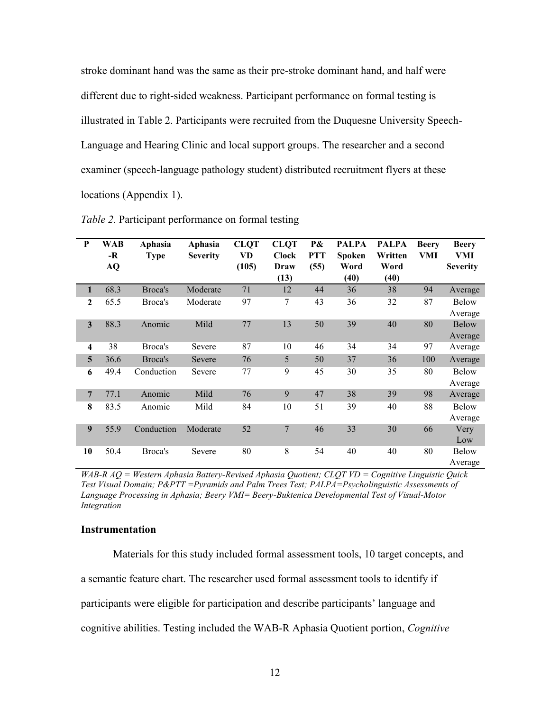stroke dominant hand was the same as their pre-stroke dominant hand, and half were different due to right-sided weakness. Participant performance on formal testing is illustrated in Table 2. Participants were recruited from the Duquesne University Speech-Language and Hearing Clinic and local support groups. The researcher and a second examiner (speech-language pathology student) distributed recruitment flyers at these locations (Appendix 1).

| P                       | <b>WAB</b><br>-R<br><b>AQ</b> | Aphasia<br><b>Type</b> | Aphasia<br><b>Severity</b> | <b>CLQT</b><br>VD<br>(105) | <b>CLQT</b><br><b>Clock</b><br>Draw<br>(13) | $P\&$<br><b>PTT</b><br>(55) | <b>PALPA</b><br><b>Spoken</b><br>Word<br>(40) | <b>PALPA</b><br>Written<br>Word<br>(40) | <b>Beery</b><br>VMI | <b>Beery</b><br>VMI<br><b>Severity</b> |
|-------------------------|-------------------------------|------------------------|----------------------------|----------------------------|---------------------------------------------|-----------------------------|-----------------------------------------------|-----------------------------------------|---------------------|----------------------------------------|
| 1                       | 68.3                          | Broca's                | Moderate                   | 71                         | 12                                          | 44                          | 36                                            | 38                                      | 94                  | Average                                |
| $\mathbf{2}$            | 65.5                          | Broca's                | Moderate                   | 97                         | 7                                           | 43                          | 36                                            | 32                                      | 87                  | <b>Below</b><br>Average                |
| $\mathbf{3}$            | 88.3                          | Anomic                 | Mild                       | 77                         | 13                                          | 50                          | 39                                            | 40                                      | 80                  | Below<br>Average                       |
| $\overline{\mathbf{4}}$ | 38                            | Broca's                | Severe                     | 87                         | 10                                          | 46                          | 34                                            | 34                                      | 97                  | Average                                |
| 5                       | 36.6                          | Broca's                | Severe                     | 76                         | 5                                           | 50                          | 37                                            | 36                                      | 100                 | Average                                |
| 6                       | 49.4                          | Conduction             | Severe                     | 77                         | 9                                           | 45                          | 30                                            | 35                                      | 80                  | <b>Below</b><br>Average                |
| 7                       | 77.1                          | Anomic                 | Mild                       | 76                         | 9                                           | 47                          | 38                                            | 39                                      | 98                  | Average                                |
| 8                       | 83.5                          | Anomic                 | Mild                       | 84                         | 10                                          | 51                          | 39                                            | 40                                      | 88                  | <b>Below</b><br>Average                |
| 9                       | 55.9                          | Conduction             | Moderate                   | 52                         | 7                                           | 46                          | 33                                            | 30                                      | 66                  | Very<br>Low                            |
| 10                      | 50.4                          | Broca's                | Severe                     | 80                         | 8                                           | 54                          | 40                                            | 40                                      | 80                  | <b>Below</b><br>Average                |

*Table 2.* Participant performance on formal testing

*WAB-R AQ = Western Aphasia Battery-Revised Aphasia Quotient; CLQT VD = Cognitive Linguistic Quick Test Visual Domain; P&PTT =Pyramids and Palm Trees Test; PALPA=Psycholinguistic Assessments of Language Processing in Aphasia; Beery VMI= Beery-Buktenica Developmental Test of Visual-Motor Integration*

#### **Instrumentation**

Materials for this study included formal assessment tools, 10 target concepts, and a semantic feature chart. The researcher used formal assessment tools to identify if participants were eligible for participation and describe participants' language and cognitive abilities. Testing included the WAB-R Aphasia Quotient portion, *Cognitive*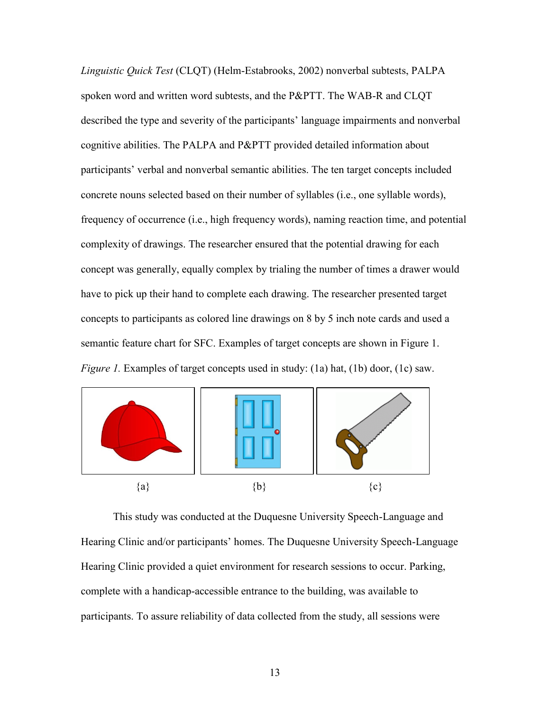*Linguistic Quick Test* (CLQT) (Helm-Estabrooks, 2002) nonverbal subtests, PALPA spoken word and written word subtests, and the P&PTT. The WAB-R and CLQT described the type and severity of the participants' language impairments and nonverbal cognitive abilities. The PALPA and P&PTT provided detailed information about participants' verbal and nonverbal semantic abilities. The ten target concepts included concrete nouns selected based on their number of syllables (i.e., one syllable words), frequency of occurrence (i.e., high frequency words), naming reaction time, and potential complexity of drawings. The researcher ensured that the potential drawing for each concept was generally, equally complex by trialing the number of times a drawer would have to pick up their hand to complete each drawing. The researcher presented target concepts to participants as colored line drawings on 8 by 5 inch note cards and used a semantic feature chart for SFC. Examples of target concepts are shown in Figure 1. *Figure 1.* Examples of target concepts used in study: (1a) hat, (1b) door, (1c) saw.



This study was conducted at the Duquesne University Speech-Language and Hearing Clinic and/or participants' homes. The Duquesne University Speech-Language Hearing Clinic provided a quiet environment for research sessions to occur. Parking, complete with a handicap-accessible entrance to the building, was available to participants. To assure reliability of data collected from the study, all sessions were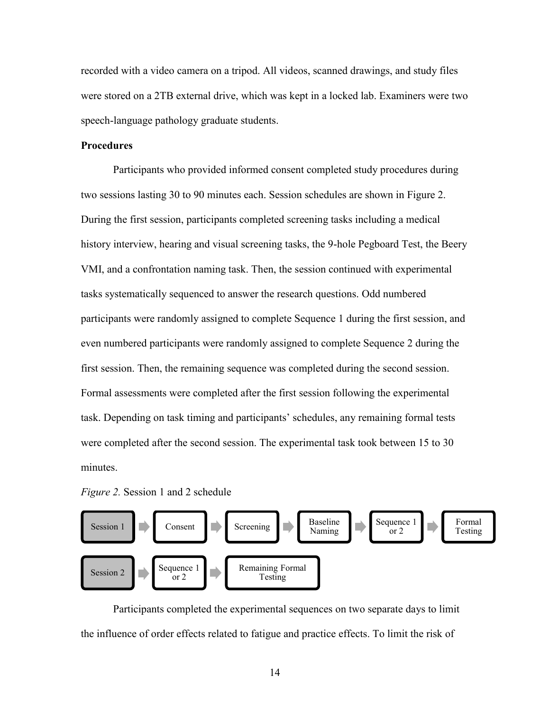recorded with a video camera on a tripod. All videos, scanned drawings, and study files were stored on a 2TB external drive, which was kept in a locked lab. Examiners were two speech-language pathology graduate students.

## **Procedures**

Participants who provided informed consent completed study procedures during two sessions lasting 30 to 90 minutes each. Session schedules are shown in Figure 2. During the first session, participants completed screening tasks including a medical history interview, hearing and visual screening tasks, the 9-hole Pegboard Test, the Beery VMI, and a confrontation naming task. Then, the session continued with experimental tasks systematically sequenced to answer the research questions. Odd numbered participants were randomly assigned to complete Sequence 1 during the first session, and even numbered participants were randomly assigned to complete Sequence 2 during the first session. Then, the remaining sequence was completed during the second session. Formal assessments were completed after the first session following the experimental task. Depending on task timing and participants' schedules, any remaining formal tests were completed after the second session. The experimental task took between 15 to 30 minutes.





Participants completed the experimental sequences on two separate days to limit the influence of order effects related to fatigue and practice effects. To limit the risk of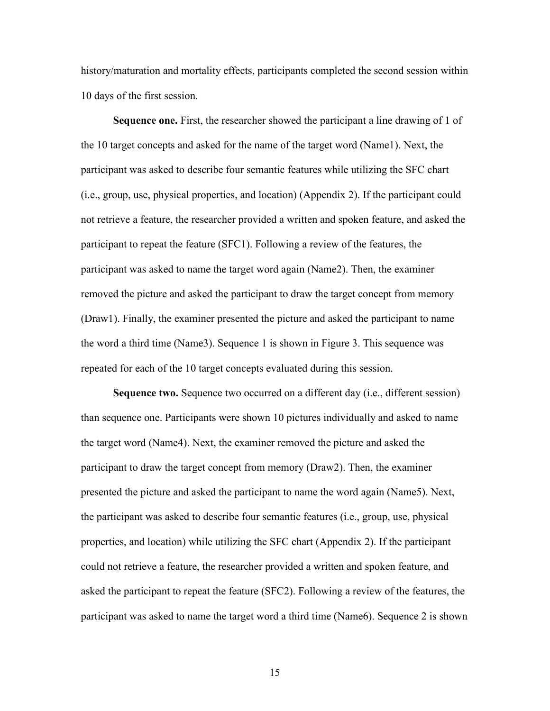history/maturation and mortality effects, participants completed the second session within 10 days of the first session.

**Sequence one.** First, the researcher showed the participant a line drawing of 1 of the 10 target concepts and asked for the name of the target word (Name1). Next, the participant was asked to describe four semantic features while utilizing the SFC chart (i.e., group, use, physical properties, and location) (Appendix 2). If the participant could not retrieve a feature, the researcher provided a written and spoken feature, and asked the participant to repeat the feature (SFC1). Following a review of the features, the participant was asked to name the target word again (Name2). Then, the examiner removed the picture and asked the participant to draw the target concept from memory (Draw1). Finally, the examiner presented the picture and asked the participant to name the word a third time (Name3). Sequence 1 is shown in Figure 3. This sequence was repeated for each of the 10 target concepts evaluated during this session.

**Sequence two.** Sequence two occurred on a different day (i.e., different session) than sequence one. Participants were shown 10 pictures individually and asked to name the target word (Name4). Next, the examiner removed the picture and asked the participant to draw the target concept from memory (Draw2). Then, the examiner presented the picture and asked the participant to name the word again (Name5). Next, the participant was asked to describe four semantic features (i.e., group, use, physical properties, and location) while utilizing the SFC chart (Appendix 2). If the participant could not retrieve a feature, the researcher provided a written and spoken feature, and asked the participant to repeat the feature (SFC2). Following a review of the features, the participant was asked to name the target word a third time (Name6). Sequence 2 is shown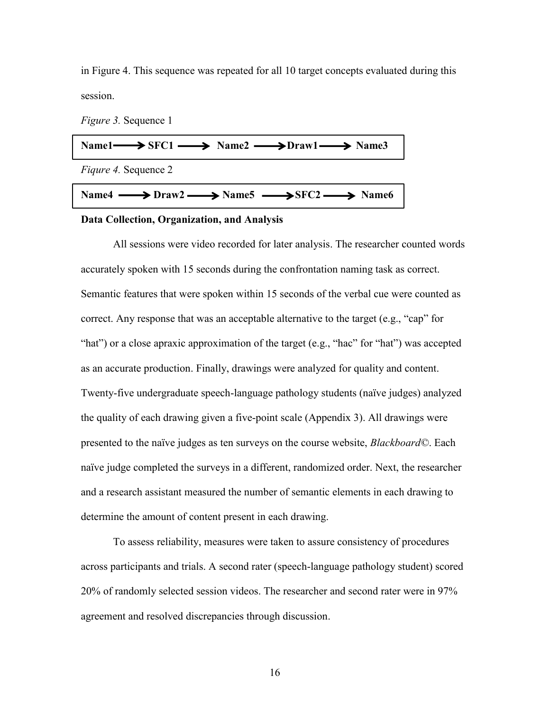in Figure 4. This sequence was repeated for all 10 target concepts evaluated during this session.

*Figure 3.* Sequence 1



## **Data Collection, Organization, and Analysis**

All sessions were video recorded for later analysis. The researcher counted words accurately spoken with 15 seconds during the confrontation naming task as correct. Semantic features that were spoken within 15 seconds of the verbal cue were counted as correct. Any response that was an acceptable alternative to the target (e.g., "cap" for "hat") or a close apraxic approximation of the target (e.g., "hac" for "hat") was accepted as an accurate production. Finally, drawings were analyzed for quality and content. Twenty-five undergraduate speech-language pathology students (naïve judges) analyzed the quality of each drawing given a five-point scale (Appendix 3). All drawings were presented to the naïve judges as ten surveys on the course website, *Blackboard©*. Each naïve judge completed the surveys in a different, randomized order. Next, the researcher and a research assistant measured the number of semantic elements in each drawing to determine the amount of content present in each drawing.

To assess reliability, measures were taken to assure consistency of procedures across participants and trials. A second rater (speech-language pathology student) scored 20% of randomly selected session videos. The researcher and second rater were in 97% agreement and resolved discrepancies through discussion.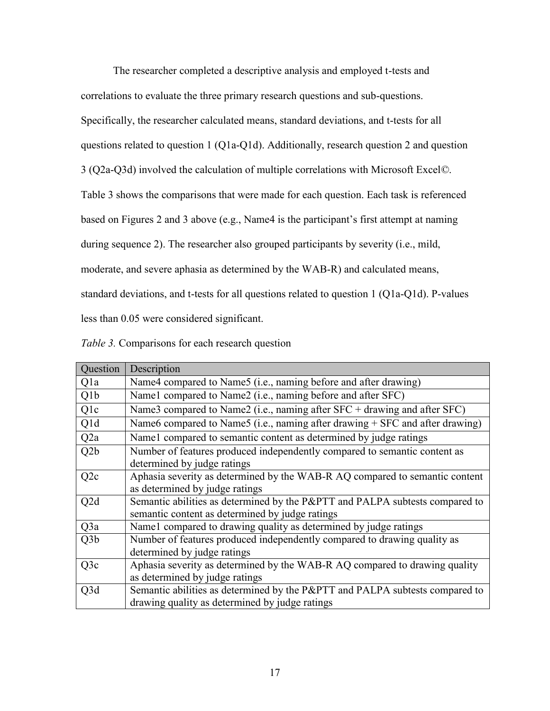The researcher completed a descriptive analysis and employed t-tests and

correlations to evaluate the three primary research questions and sub-questions.

Specifically, the researcher calculated means, standard deviations, and t-tests for all

questions related to question 1 (Q1a-Q1d). Additionally, research question 2 and question

3 (Q2a-Q3d) involved the calculation of multiple correlations with Microsoft Excel*©*.

Table 3 shows the comparisons that were made for each question. Each task is referenced

based on Figures 2 and 3 above (e.g., Name4 is the participant's first attempt at naming

during sequence 2). The researcher also grouped participants by severity (i.e., mild,

moderate, and severe aphasia as determined by the WAB-R) and calculated means,

standard deviations, and t-tests for all questions related to question 1 (Q1a-Q1d). P-values

less than 0.05 were considered significant.

| Table 3. Comparisons for each research question |  |  |  |  |  |
|-------------------------------------------------|--|--|--|--|--|
|-------------------------------------------------|--|--|--|--|--|

| Question         | Description                                                                                              |
|------------------|----------------------------------------------------------------------------------------------------------|
| Qla              | Name4 compared to Name5 (i.e., naming before and after drawing)                                          |
| Q <sub>1</sub> b | Name1 compared to Name2 (i.e., naming before and after SFC)                                              |
| Qlc              | Name3 compared to Name2 (i.e., naming after $SFC +$ drawing and after $SFC$ )                            |
| Q1d              | Name6 compared to Name5 (i.e., naming after drawing $+$ SFC and after drawing)                           |
| Q2a              | Name1 compared to semantic content as determined by judge ratings                                        |
| Q <sub>2</sub> b | Number of features produced independently compared to semantic content as<br>determined by judge ratings |
| Q <sub>2</sub> c | Aphasia severity as determined by the WAB-R AQ compared to semantic content                              |
|                  | as determined by judge ratings                                                                           |
| Q2d              | Semantic abilities as determined by the P&PTT and PALPA subtests compared to                             |
|                  | semantic content as determined by judge ratings                                                          |
| Q3a              | Name1 compared to drawing quality as determined by judge ratings                                         |
| Q <sub>3</sub> b | Number of features produced independently compared to drawing quality as                                 |
|                  | determined by judge ratings                                                                              |
| Q3c              | Aphasia severity as determined by the WAB-R AQ compared to drawing quality                               |
|                  | as determined by judge ratings                                                                           |
| Q3d              | Semantic abilities as determined by the P&PTT and PALPA subtests compared to                             |
|                  | drawing quality as determined by judge ratings                                                           |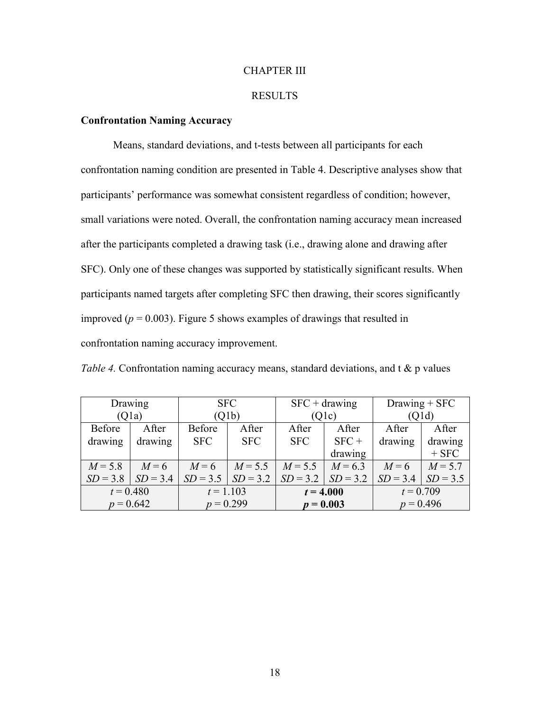## CHAPTER III

### RESULTS

## **Confrontation Naming Accuracy**

Means, standard deviations, and t-tests between all participants for each confrontation naming condition are presented in Table 4. Descriptive analyses show that participants' performance was somewhat consistent regardless of condition; however, small variations were noted. Overall, the confrontation naming accuracy mean increased after the participants completed a drawing task (i.e., drawing alone and drawing after SFC). Only one of these changes was supported by statistically significant results. When participants named targets after completing SFC then drawing, their scores significantly improved ( $p = 0.003$ ). Figure 5 shows examples of drawings that resulted in confrontation naming accuracy improvement.

*Table 4.* Confrontation naming accuracy means, standard deviations, and t & p values

| Drawing     |            | <b>SFC</b>  |            |                        | $SFC + drawing$ | $Drawing + SFC$ |            |
|-------------|------------|-------------|------------|------------------------|-----------------|-----------------|------------|
| (Q1a)       |            | (Q1b)       |            | (Q1c)                  |                 | (Q1d)           |            |
| Before      | After      | Before      | After      | After                  | After           | After           | After      |
| drawing     | drawing    | <b>SFC</b>  | <b>SFC</b> | <b>SFC</b>             | $SFC +$         | drawing         | drawing    |
|             |            |             |            |                        | drawing         |                 | $+$ SFC    |
| $M = 5.8$   | $M=6$      | $M=6$       | $M = 5.5$  | $M = 6.3$<br>$M = 5.5$ |                 | $M=6$           | $M = 5.7$  |
| $SD = 3.8$  | $SD = 3.4$ | $SD = 3.5$  | $SD = 3.2$ | $SD = 3.2$             | $SD = 3.2$      | $SD = 3.4$      | $SD = 3.5$ |
| $t = 0.480$ |            | $t = 1.103$ |            | $t = 4.000$            |                 | $t = 0.709$     |            |
| $p = 0.642$ |            | $p = 0.299$ |            | $p = 0.003$            |                 | $p = 0.496$     |            |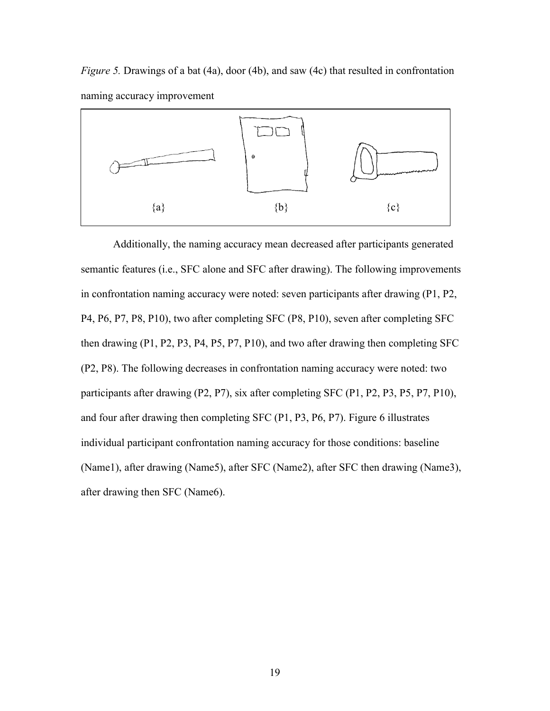*Figure 5.* Drawings of a bat (4a), door (4b), and saw (4c) that resulted in confrontation naming accuracy improvement



Additionally, the naming accuracy mean decreased after participants generated semantic features (i.e., SFC alone and SFC after drawing). The following improvements in confrontation naming accuracy were noted: seven participants after drawing (P1, P2, P4, P6, P7, P8, P10), two after completing SFC (P8, P10), seven after completing SFC then drawing (P1, P2, P3, P4, P5, P7, P10), and two after drawing then completing SFC (P2, P8). The following decreases in confrontation naming accuracy were noted: two participants after drawing (P2, P7), six after completing SFC (P1, P2, P3, P5, P7, P10), and four after drawing then completing SFC (P1, P3, P6, P7). Figure 6 illustrates individual participant confrontation naming accuracy for those conditions: baseline (Name1), after drawing (Name5), after SFC (Name2), after SFC then drawing (Name3), after drawing then SFC (Name6).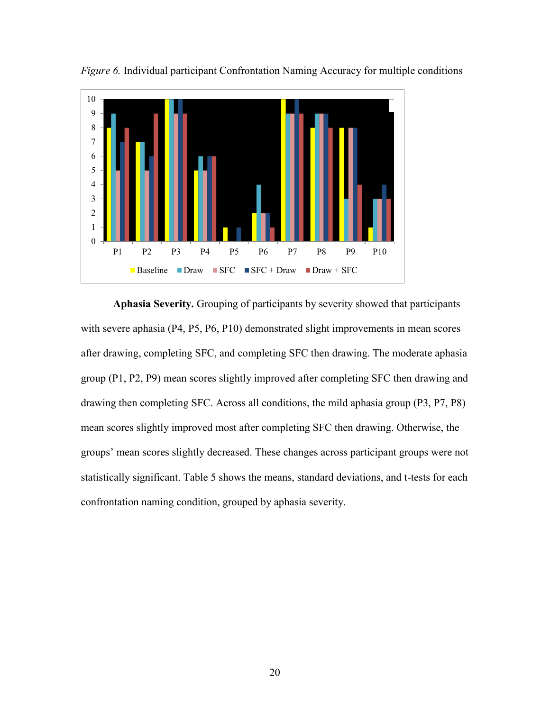

*Figure 6.* Individual participant Confrontation Naming Accuracy for multiple conditions

**Aphasia Severity.** Grouping of participants by severity showed that participants with severe aphasia (P4, P5, P6, P10) demonstrated slight improvements in mean scores after drawing, completing SFC, and completing SFC then drawing. The moderate aphasia group (P1, P2, P9) mean scores slightly improved after completing SFC then drawing and drawing then completing SFC. Across all conditions, the mild aphasia group (P3, P7, P8) mean scores slightly improved most after completing SFC then drawing. Otherwise, the groups' mean scores slightly decreased. These changes across participant groups were not statistically significant. Table 5 shows the means, standard deviations, and t-tests for each confrontation naming condition, grouped by aphasia severity.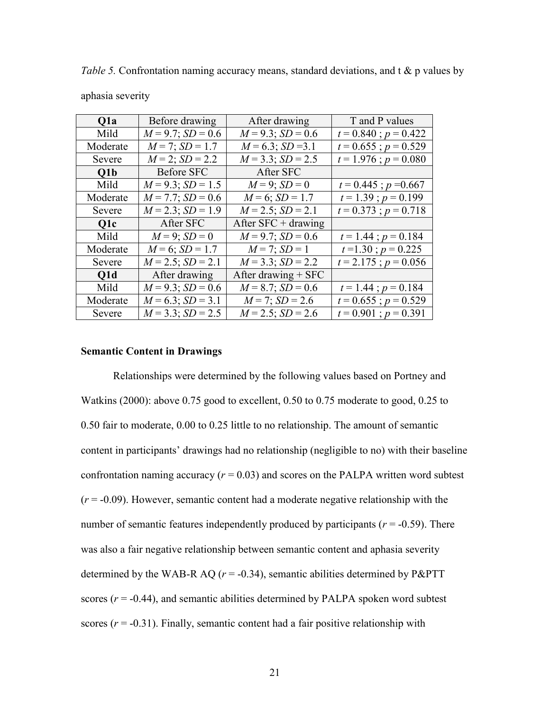| Q <sub>1</sub> a | Before drawing         | After drawing          | T and P values            |
|------------------|------------------------|------------------------|---------------------------|
| Mild             | $M = 9.7$ ; $SD = 0.6$ | $M = 9.3$ ; $SD = 0.6$ | $t = 0.840$ ; $p = 0.422$ |
| Moderate         | $M = 7$ ; $SD = 1.7$   | $M = 6.3$ ; SD = 3.1   | $t = 0.655$ ; $p = 0.529$ |
| Severe           | $M = 2$ ; $SD = 2.2$   | $M = 3.3$ ; $SD = 2.5$ | $t = 1.976$ ; $p = 0.080$ |
| Q1b              | Before SFC             | After SFC              |                           |
| Mild             | $M = 9.3$ ; $SD = 1.5$ | $M = 9$ ; $SD = 0$     | $t = 0.445$ ; $p = 0.667$ |
| Moderate         | $M = 7.7$ ; $SD = 0.6$ | $M = 6$ ; $SD = 1.7$   | $t = 1.39$ ; $p = 0.199$  |
| Severe           | $M = 2.3$ ; $SD = 1.9$ | $M = 2.5$ ; $SD = 2.1$ | $t = 0.373$ ; $p = 0.718$ |
| Q1c              | After SFC              | After $SFC + drawing$  |                           |
| Mild             | $M = 9$ ; $SD = 0$     | $M = 9.7$ ; $SD = 0.6$ | $t = 1.44$ ; $p = 0.184$  |
| Moderate         | $M = 6$ ; $SD = 1.7$   | $M = 7$ ; $SD = 1$     | $t=1.30$ ; $p=0.225$      |
| Severe           | $M = 2.5$ ; $SD = 2.1$ | $M = 3.3$ ; $SD = 2.2$ | $t = 2.175$ ; $p = 0.056$ |
| Q1d              | After drawing          | After drawing $+$ SFC  |                           |
| Mild             | $M = 9.3$ ; $SD = 0.6$ | $M = 8.7$ ; $SD = 0.6$ | $t = 1.44$ ; $p = 0.184$  |
| Moderate         | $M = 6.3$ ; $SD = 3.1$ | $M = 7$ ; $SD = 2.6$   | $t = 0.655$ ; $p = 0.529$ |
| Severe           | $M = 3.3$ ; $SD = 2.5$ | $M = 2.5$ ; $SD = 2.6$ | $t = 0.901$ ; $p = 0.391$ |

*Table 5.* Confrontation naming accuracy means, standard deviations, and t & p values by

## aphasia severity

#### **Semantic Content in Drawings**

Relationships were determined by the following values based on Portney and Watkins (2000): above 0.75 good to excellent, 0.50 to 0.75 moderate to good, 0.25 to 0.50 fair to moderate, 0.00 to 0.25 little to no relationship. The amount of semantic content in participants' drawings had no relationship (negligible to no) with their baseline confrontation naming accuracy  $(r = 0.03)$  and scores on the PALPA written word subtest  $(r = -0.09)$ . However, semantic content had a moderate negative relationship with the number of semantic features independently produced by participants ( $r = -0.59$ ). There was also a fair negative relationship between semantic content and aphasia severity determined by the WAB-R AQ ( $r = -0.34$ ), semantic abilities determined by P&PTT scores  $(r = -0.44)$ , and semantic abilities determined by PALPA spoken word subtest scores  $(r = -0.31)$ . Finally, semantic content had a fair positive relationship with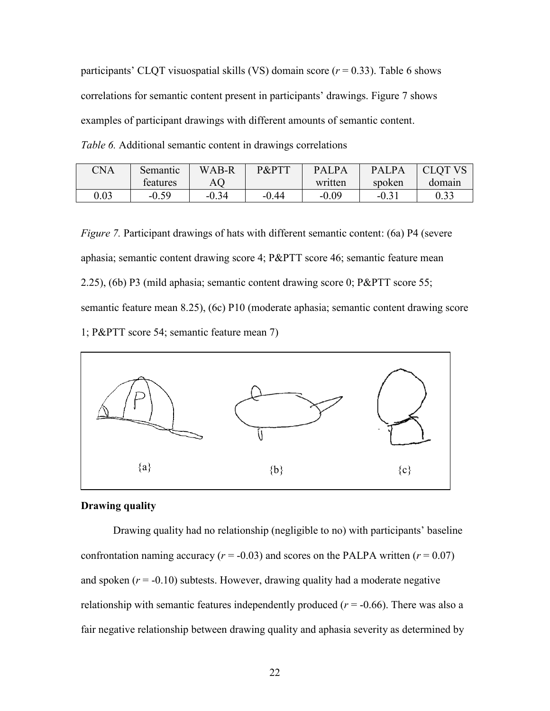participants' CLQT visuospatial skills (VS) domain score  $(r = 0.33)$ . Table 6 shows correlations for semantic content present in participants' drawings. Figure 7 shows examples of participant drawings with different amounts of semantic content. *Table 6.* Additional semantic content in drawings correlations

| CNA  | Semantic | WAB-R   | P&PTT   | PALPA   | <b>PALPA</b>   | <b>CLOT VS</b> |
|------|----------|---------|---------|---------|----------------|----------------|
|      | teatures | AQ      |         | written | spoken         | domain         |
| 0.03 | $-0.59$  | $-0.34$ | $-0.44$ | $-0.09$ | $-0.3^{\circ}$ | 0.33           |

*Figure 7.* Participant drawings of hats with different semantic content: (6a) P4 (severe aphasia; semantic content drawing score 4; P&PTT score 46; semantic feature mean 2.25), (6b) P3 (mild aphasia; semantic content drawing score 0; P&PTT score 55; semantic feature mean 8.25), (6c) P10 (moderate aphasia; semantic content drawing score 1; P&PTT score 54; semantic feature mean 7)



#### **Drawing quality**

Drawing quality had no relationship (negligible to no) with participants' baseline confrontation naming accuracy ( $r = -0.03$ ) and scores on the PALPA written ( $r = 0.07$ ) and spoken  $(r = -0.10)$  subtests. However, drawing quality had a moderate negative relationship with semantic features independently produced  $(r = -0.66)$ . There was also a fair negative relationship between drawing quality and aphasia severity as determined by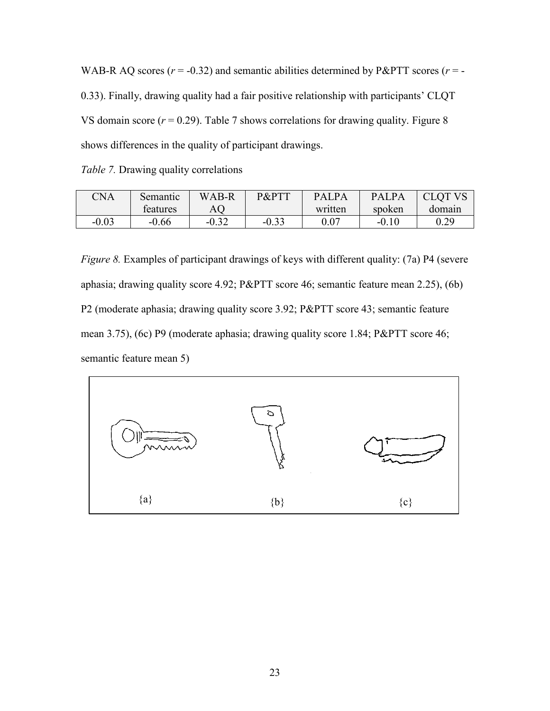WAB-R AQ scores ( $r = -0.32$ ) and semantic abilities determined by P&PTT scores ( $r = -0.32$ ) 0.33). Finally, drawing quality had a fair positive relationship with participants' CLQT VS domain score  $(r = 0.29)$ . Table 7 shows correlations for drawing quality. Figure 8 shows differences in the quality of participant drawings.

|  | Table 7. Drawing quality correlations |  |  |
|--|---------------------------------------|--|--|
|  |                                       |  |  |

| CNA     | Semantic | WAB-R   | P&PTT   | <b>PALPA</b> | <b>PALPA</b> | <b>CLOT VS</b> |
|---------|----------|---------|---------|--------------|--------------|----------------|
|         | teatures | AQ      |         | written      | spoken       | domain         |
| $-0.03$ | $-0.66$  | $-0.32$ | $-0.33$ | 0.07         | $-0.10$      | 0.29           |

*Figure 8.* Examples of participant drawings of keys with different quality: (7a) P4 (severe aphasia; drawing quality score 4.92; P&PTT score 46; semantic feature mean 2.25), (6b) P2 (moderate aphasia; drawing quality score 3.92; P&PTT score 43; semantic feature mean 3.75), (6c) P9 (moderate aphasia; drawing quality score 1.84; P&PTT score 46; semantic feature mean 5)

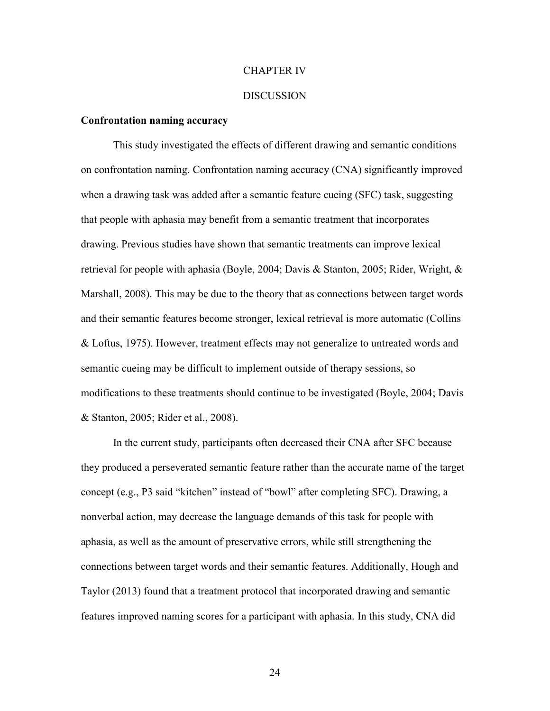## CHAPTER IV

#### **DISCUSSION**

### **Confrontation naming accuracy**

This study investigated the effects of different drawing and semantic conditions on confrontation naming. Confrontation naming accuracy (CNA) significantly improved when a drawing task was added after a semantic feature cueing (SFC) task, suggesting that people with aphasia may benefit from a semantic treatment that incorporates drawing. Previous studies have shown that semantic treatments can improve lexical retrieval for people with aphasia (Boyle, 2004; Davis & Stanton, 2005; Rider, Wright, & Marshall, 2008). This may be due to the theory that as connections between target words and their semantic features become stronger, lexical retrieval is more automatic (Collins & Loftus, 1975). However, treatment effects may not generalize to untreated words and semantic cueing may be difficult to implement outside of therapy sessions, so modifications to these treatments should continue to be investigated (Boyle, 2004; Davis & Stanton, 2005; Rider et al., 2008).

In the current study, participants often decreased their CNA after SFC because they produced a perseverated semantic feature rather than the accurate name of the target concept (e.g., P3 said "kitchen" instead of "bowl" after completing SFC). Drawing, a nonverbal action, may decrease the language demands of this task for people with aphasia, as well as the amount of preservative errors, while still strengthening the connections between target words and their semantic features. Additionally, Hough and Taylor (2013) found that a treatment protocol that incorporated drawing and semantic features improved naming scores for a participant with aphasia. In this study, CNA did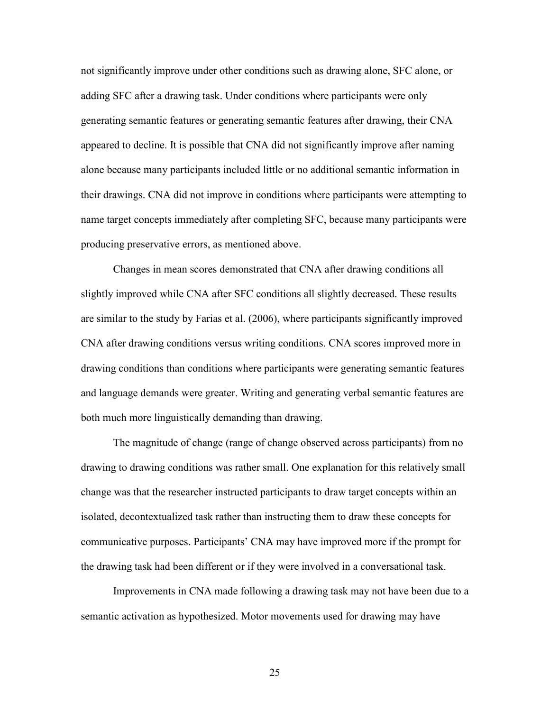not significantly improve under other conditions such as drawing alone, SFC alone, or adding SFC after a drawing task. Under conditions where participants were only generating semantic features or generating semantic features after drawing, their CNA appeared to decline. It is possible that CNA did not significantly improve after naming alone because many participants included little or no additional semantic information in their drawings. CNA did not improve in conditions where participants were attempting to name target concepts immediately after completing SFC, because many participants were producing preservative errors, as mentioned above.

Changes in mean scores demonstrated that CNA after drawing conditions all slightly improved while CNA after SFC conditions all slightly decreased. These results are similar to the study by Farias et al. (2006), where participants significantly improved CNA after drawing conditions versus writing conditions. CNA scores improved more in drawing conditions than conditions where participants were generating semantic features and language demands were greater. Writing and generating verbal semantic features are both much more linguistically demanding than drawing.

The magnitude of change (range of change observed across participants) from no drawing to drawing conditions was rather small. One explanation for this relatively small change was that the researcher instructed participants to draw target concepts within an isolated, decontextualized task rather than instructing them to draw these concepts for communicative purposes. Participants' CNA may have improved more if the prompt for the drawing task had been different or if they were involved in a conversational task.

Improvements in CNA made following a drawing task may not have been due to a semantic activation as hypothesized. Motor movements used for drawing may have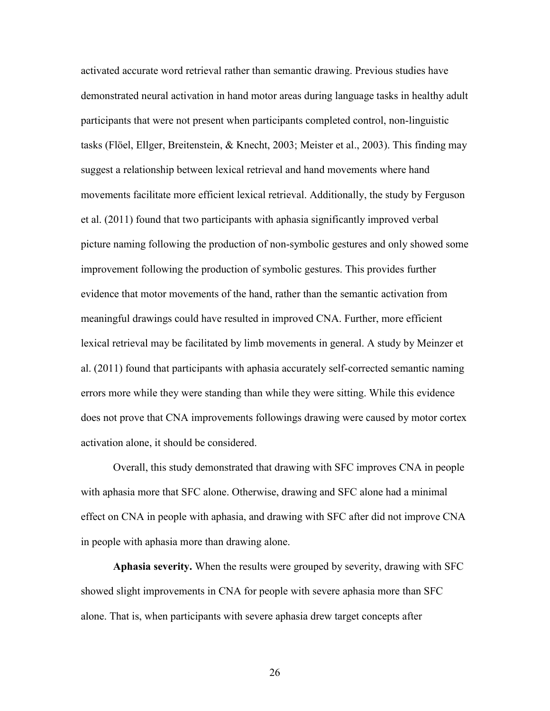activated accurate word retrieval rather than semantic drawing. Previous studies have demonstrated neural activation in hand motor areas during language tasks in healthy adult participants that were not present when participants completed control, non-linguistic tasks (Flöel, Ellger, Breitenstein, & Knecht, 2003; Meister et al., 2003). This finding may suggest a relationship between lexical retrieval and hand movements where hand movements facilitate more efficient lexical retrieval. Additionally, the study by Ferguson et al. (2011) found that two participants with aphasia significantly improved verbal picture naming following the production of non-symbolic gestures and only showed some improvement following the production of symbolic gestures. This provides further evidence that motor movements of the hand, rather than the semantic activation from meaningful drawings could have resulted in improved CNA. Further, more efficient lexical retrieval may be facilitated by limb movements in general. A study by Meinzer et al. (2011) found that participants with aphasia accurately self-corrected semantic naming errors more while they were standing than while they were sitting. While this evidence does not prove that CNA improvements followings drawing were caused by motor cortex activation alone, it should be considered.

Overall, this study demonstrated that drawing with SFC improves CNA in people with aphasia more that SFC alone. Otherwise, drawing and SFC alone had a minimal effect on CNA in people with aphasia, and drawing with SFC after did not improve CNA in people with aphasia more than drawing alone.

**Aphasia severity.** When the results were grouped by severity, drawing with SFC showed slight improvements in CNA for people with severe aphasia more than SFC alone. That is, when participants with severe aphasia drew target concepts after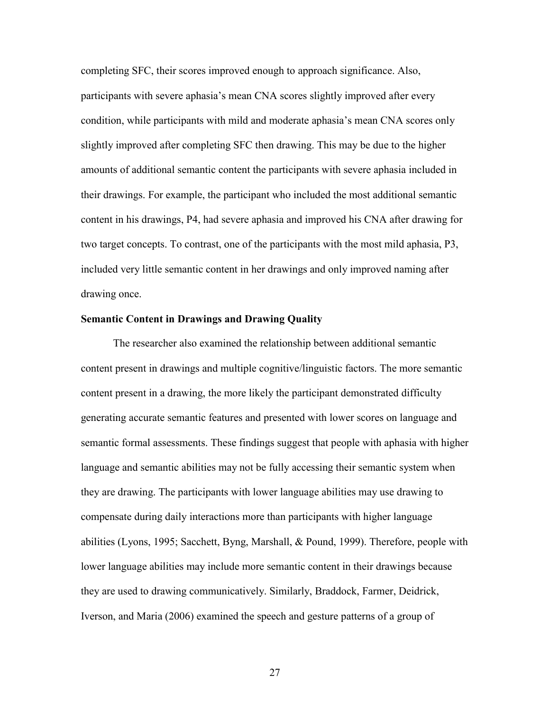completing SFC, their scores improved enough to approach significance. Also, participants with severe aphasia's mean CNA scores slightly improved after every condition, while participants with mild and moderate aphasia's mean CNA scores only slightly improved after completing SFC then drawing. This may be due to the higher amounts of additional semantic content the participants with severe aphasia included in their drawings. For example, the participant who included the most additional semantic content in his drawings, P4, had severe aphasia and improved his CNA after drawing for two target concepts. To contrast, one of the participants with the most mild aphasia, P3, included very little semantic content in her drawings and only improved naming after drawing once.

#### **Semantic Content in Drawings and Drawing Quality**

The researcher also examined the relationship between additional semantic content present in drawings and multiple cognitive/linguistic factors. The more semantic content present in a drawing, the more likely the participant demonstrated difficulty generating accurate semantic features and presented with lower scores on language and semantic formal assessments. These findings suggest that people with aphasia with higher language and semantic abilities may not be fully accessing their semantic system when they are drawing. The participants with lower language abilities may use drawing to compensate during daily interactions more than participants with higher language abilities (Lyons, 1995; Sacchett, Byng, Marshall, & Pound, 1999). Therefore, people with lower language abilities may include more semantic content in their drawings because they are used to drawing communicatively. Similarly, Braddock, Farmer, Deidrick, Iverson, and Maria (2006) examined the speech and gesture patterns of a group of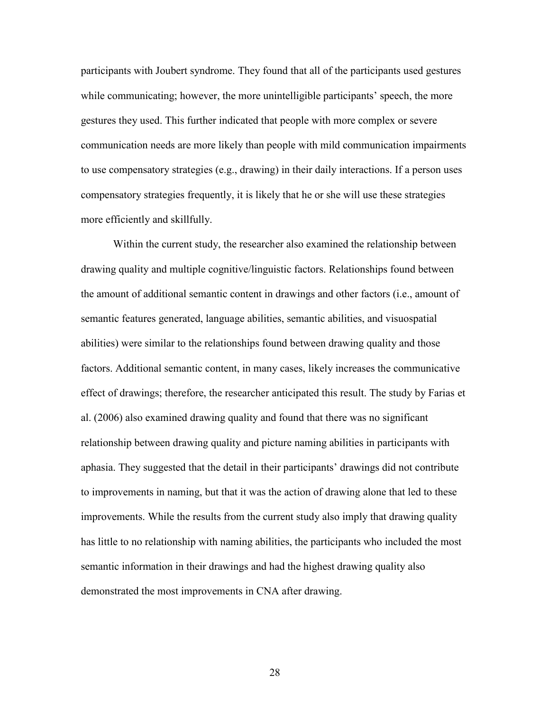participants with Joubert syndrome. They found that all of the participants used gestures while communicating; however, the more unintelligible participants' speech, the more gestures they used. This further indicated that people with more complex or severe communication needs are more likely than people with mild communication impairments to use compensatory strategies (e.g., drawing) in their daily interactions. If a person uses compensatory strategies frequently, it is likely that he or she will use these strategies more efficiently and skillfully.

Within the current study, the researcher also examined the relationship between drawing quality and multiple cognitive/linguistic factors. Relationships found between the amount of additional semantic content in drawings and other factors (i.e., amount of semantic features generated, language abilities, semantic abilities, and visuospatial abilities) were similar to the relationships found between drawing quality and those factors. Additional semantic content, in many cases, likely increases the communicative effect of drawings; therefore, the researcher anticipated this result. The study by Farias et al. (2006) also examined drawing quality and found that there was no significant relationship between drawing quality and picture naming abilities in participants with aphasia. They suggested that the detail in their participants' drawings did not contribute to improvements in naming, but that it was the action of drawing alone that led to these improvements. While the results from the current study also imply that drawing quality has little to no relationship with naming abilities, the participants who included the most semantic information in their drawings and had the highest drawing quality also demonstrated the most improvements in CNA after drawing.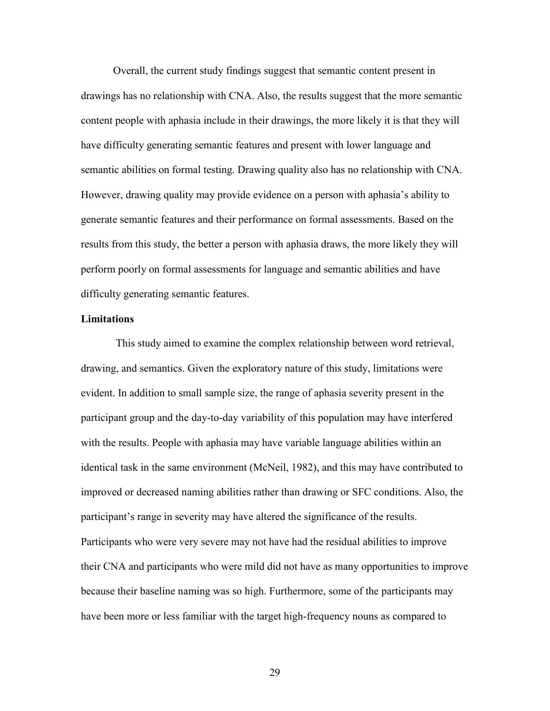Overall, the current study findings suggest that semantic content present in drawings has no relationship with CNA. Also, the results suggest that the more semantic content people with aphasia include in their drawings, the more likely it is that they will have difficulty generating semantic features and present with lower language and semantic abilities on formal testing. Drawing quality also has no relationship with CNA. However, drawing quality may provide evidence on a person with aphasia's ability to generate semantic features and their performance on formal assessments. Based on the results from this study, the better a person with aphasia draws, the more likely they will perform poorly on formal assessments for language and semantic abilities and have difficulty generating semantic features.

#### **Limitations**

This study aimed to examine the complex relationship between word retrieval, drawing, and semantics. Given the exploratory nature of this study, limitations were evident. In addition to small sample size, the range of aphasia severity present in the participant group and the day-to-day variability of this population may have interfered with the results. People with aphasia may have variable language abilities within an identical task in the same environment (McNeil, 1982), and this may have contributed to improved or decreased naming abilities rather than drawing or SFC conditions. Also, the participant's range in severity may have altered the significance of the results. Participants who were very severe may not have had the residual abilities to improve their CNA and participants who were mild did not have as many opportunities to improve because their baseline naming was so high. Furthermore, some of the participants may have been more or less familiar with the target high-frequency nouns as compared to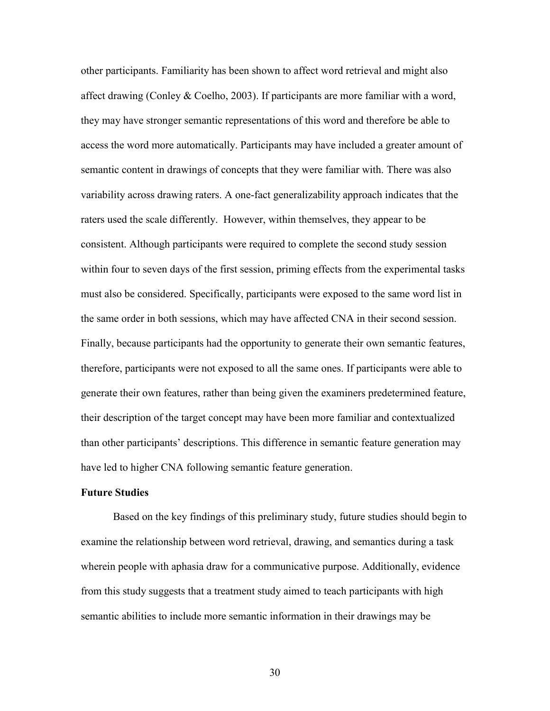other participants. Familiarity has been shown to affect word retrieval and might also affect drawing (Conley & Coelho, 2003). If participants are more familiar with a word, they may have stronger semantic representations of this word and therefore be able to access the word more automatically. Participants may have included a greater amount of semantic content in drawings of concepts that they were familiar with. There was also variability across drawing raters. A one-fact generalizability approach indicates that the raters used the scale differently. However, within themselves, they appear to be consistent. Although participants were required to complete the second study session within four to seven days of the first session, priming effects from the experimental tasks must also be considered. Specifically, participants were exposed to the same word list in the same order in both sessions, which may have affected CNA in their second session. Finally, because participants had the opportunity to generate their own semantic features, therefore, participants were not exposed to all the same ones. If participants were able to generate their own features, rather than being given the examiners predetermined feature, their description of the target concept may have been more familiar and contextualized than other participants' descriptions. This difference in semantic feature generation may have led to higher CNA following semantic feature generation.

#### **Future Studies**

Based on the key findings of this preliminary study, future studies should begin to examine the relationship between word retrieval, drawing, and semantics during a task wherein people with aphasia draw for a communicative purpose. Additionally, evidence from this study suggests that a treatment study aimed to teach participants with high semantic abilities to include more semantic information in their drawings may be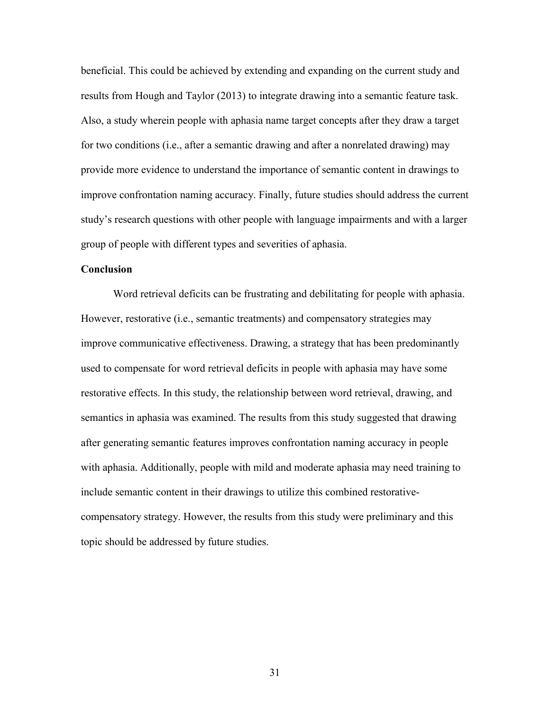beneficial. This could be achieved by extending and expanding on the current study and results from Hough and Taylor (2013) to integrate drawing into a semantic feature task. Also, a study wherein people with aphasia name target concepts after they draw a target for two conditions (i.e., after a semantic drawing and after a nonrelated drawing) may provide more evidence to understand the importance of semantic content in drawings to improve confrontation naming accuracy. Finally, future studies should address the current study's research questions with other people with language impairments and with a larger group of people with different types and severities of aphasia.

#### **Conclusion**

Word retrieval deficits can be frustrating and debilitating for people with aphasia. However, restorative (i.e., semantic treatments) and compensatory strategies may improve communicative effectiveness. Drawing, a strategy that has been predominantly used to compensate for word retrieval deficits in people with aphasia may have some restorative effects. In this study, the relationship between word retrieval, drawing, and semantics in aphasia was examined. The results from this study suggested that drawing after generating semantic features improves confrontation naming accuracy in people with aphasia. Additionally, people with mild and moderate aphasia may need training to include semantic content in their drawings to utilize this combined restorativecompensatory strategy. However, the results from this study were preliminary and this topic should be addressed by future studies.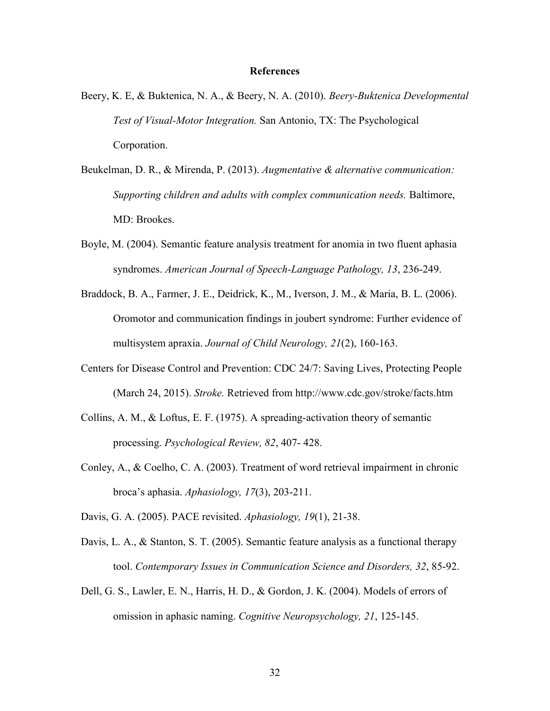#### **References**

- Beery, K. E, & Buktenica, N. A., & Beery, N. A. (2010). *Beery-Buktenica Developmental Test of Visual-Motor Integration.* San Antonio, TX: The Psychological Corporation.
- Beukelman, D. R., & Mirenda, P. (2013). *Augmentative & alternative communication: Supporting children and adults with complex communication needs.* Baltimore, MD: Brookes.
- Boyle, M. (2004). Semantic feature analysis treatment for anomia in two fluent aphasia syndromes. *American Journal of Speech-Language Pathology, 13*, 236-249.
- Braddock, B. A., Farmer, J. E., Deidrick, K., M., Iverson, J. M., & Maria, B. L. (2006). Oromotor and communication findings in joubert syndrome: Further evidence of multisystem apraxia. *Journal of Child Neurology, 21*(2), 160-163.
- Centers for Disease Control and Prevention: CDC 24/7: Saving Lives, Protecting People (March 24, 2015). *Stroke.* Retrieved from http://www.cdc.gov/stroke/facts.htm
- Collins, A. M., & Loftus, E. F. (1975). A spreading-activation theory of semantic processing. *Psychological Review, 82*, 407- 428.
- Conley, A., & Coelho, C. A. (2003). Treatment of word retrieval impairment in chronic broca's aphasia. *Aphasiology, 17*(3), 203-211.

Davis, G. A. (2005). PACE revisited. *Aphasiology, 19*(1), 21-38.

- Davis, L. A., & Stanton, S. T. (2005). Semantic feature analysis as a functional therapy tool. *Contemporary Issues in Communication Science and Disorders, 32*, 85-92.
- Dell, G. S., Lawler, E. N., Harris, H. D., & Gordon, J. K. (2004). Models of errors of omission in aphasic naming. *Cognitive Neuropsychology, 21*, 125-145.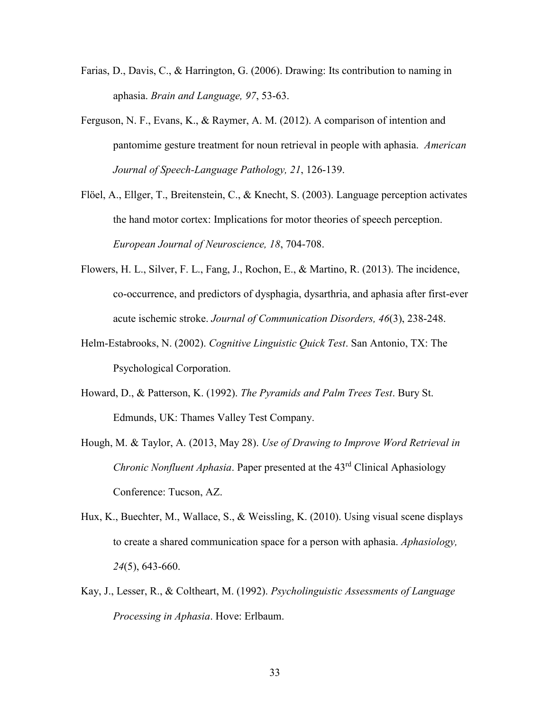- Farias, D., Davis, C., & Harrington, G. (2006). Drawing: Its contribution to naming in aphasia. *Brain and Language, 97*, 53-63.
- Ferguson, N. F., Evans, K., & Raymer, A. M. (2012). A comparison of intention and pantomime gesture treatment for noun retrieval in people with aphasia. *American Journal of Speech-Language Pathology, 21*, 126-139.
- Flöel, A., Ellger, T., Breitenstein, C., & Knecht, S. (2003). Language perception activates the hand motor cortex: Implications for motor theories of speech perception. *European Journal of Neuroscience, 18*, 704-708.
- Flowers, H. L., Silver, F. L., Fang, J., Rochon, E., & Martino, R. (2013). The incidence, co-occurrence, and predictors of dysphagia, dysarthria, and aphasia after first-ever acute ischemic stroke. *Journal of Communication Disorders, 46*(3), 238-248.
- Helm-Estabrooks, N. (2002). *Cognitive Linguistic Quick Test*. San Antonio, TX: The Psychological Corporation.
- Howard, D., & Patterson, K. (1992). *The Pyramids and Palm Trees Test*. Bury St. Edmunds, UK: Thames Valley Test Company.
- Hough, M. & Taylor, A. (2013, May 28). *Use of Drawing to Improve Word Retrieval in Chronic Nonfluent Aphasia*. Paper presented at the 43<sup>rd</sup> Clinical Aphasiology Conference: Tucson, AZ.
- Hux, K., Buechter, M., Wallace, S., & Weissling, K. (2010). Using visual scene displays to create a shared communication space for a person with aphasia. *Aphasiology, 24*(5), 643-660.
- Kay, J., Lesser, R., & Coltheart, M. (1992). *Psycholinguistic Assessments of Language Processing in Aphasia*. Hove: Erlbaum.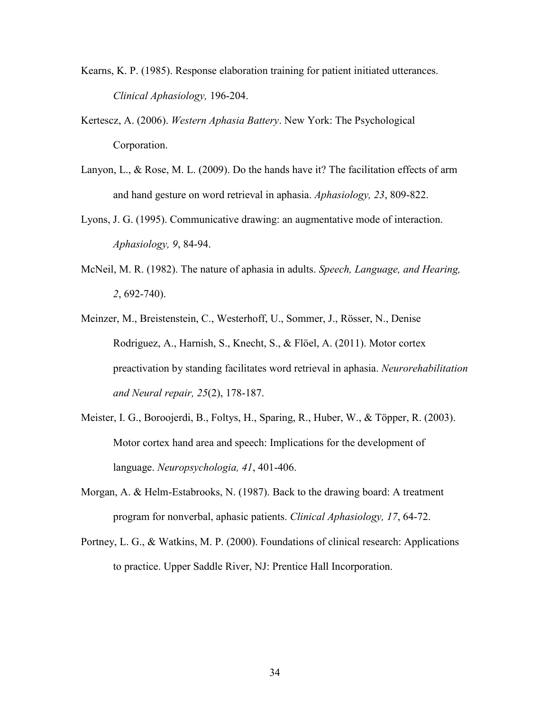- Kearns, K. P. (1985). Response elaboration training for patient initiated utterances. *Clinical Aphasiology,* 196-204.
- Kertescz, A. (2006). *Western Aphasia Battery*. New York: The Psychological Corporation.
- Lanyon, L., & Rose, M. L. (2009). Do the hands have it? The facilitation effects of arm and hand gesture on word retrieval in aphasia. *Aphasiology, 23*, 809-822.
- Lyons, J. G. (1995). Communicative drawing: an augmentative mode of interaction. *Aphasiology, 9*, 84-94.
- McNeil, M. R. (1982). The nature of aphasia in adults. *Speech, Language, and Hearing, 2*, 692-740).
- Meinzer, M., Breistenstein, C., Westerhoff, U., Sommer, J., Rösser, N., Denise Rodriguez, A., Harnish, S., Knecht, S., & Flöel, A. (2011). Motor cortex preactivation by standing facilitates word retrieval in aphasia. *Neurorehabilitation and Neural repair, 25*(2), 178-187.
- Meister, I. G., Boroojerdi, B., Foltys, H., Sparing, R., Huber, W., & Töpper, R. (2003). Motor cortex hand area and speech: Implications for the development of language. *Neuropsychologia, 41*, 401-406.
- Morgan, A. & Helm-Estabrooks, N. (1987). Back to the drawing board: A treatment program for nonverbal, aphasic patients. *Clinical Aphasiology, 17*, 64-72.
- Portney, L. G., & Watkins, M. P. (2000). Foundations of clinical research: Applications to practice. Upper Saddle River, NJ: Prentice Hall Incorporation.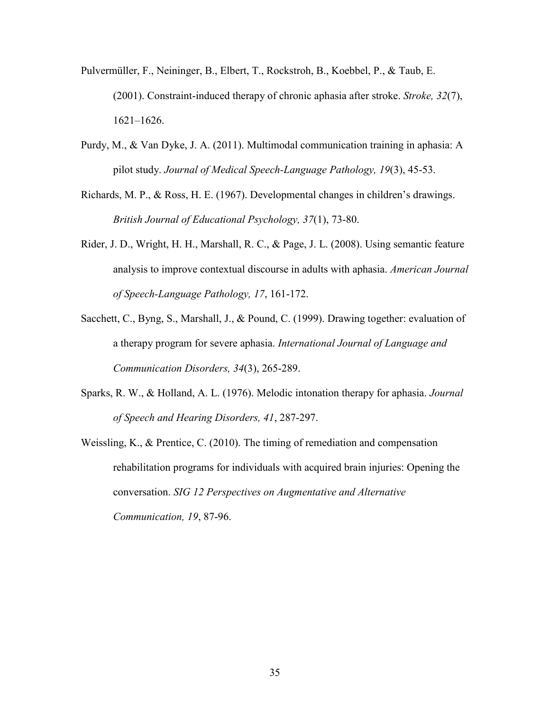- Pulvermüller, F., Neininger, B., Elbert, T., Rockstroh, B., Koebbel, P., & Taub, E. (2001). Constraint-induced therapy of chronic aphasia after stroke. *Stroke, 32*(7), 1621–1626.
- Purdy, M., & Van Dyke, J. A. (2011). Multimodal communication training in aphasia: A pilot study. *Journal of Medical Speech-Language Pathology, 19*(3), 45-53.
- Richards, M. P., & Ross, H. E. (1967). Developmental changes in children's drawings. *British Journal of Educational Psychology, 37*(1), 73-80.
- Rider, J. D., Wright, H. H., Marshall, R. C., & Page, J. L. (2008). Using semantic feature analysis to improve contextual discourse in adults with aphasia. *American Journal of Speech-Language Pathology, 17*, 161-172.
- Sacchett, C., Byng, S., Marshall, J., & Pound, C. (1999). Drawing together: evaluation of a therapy program for severe aphasia. *International Journal of Language and Communication Disorders, 34*(3), 265-289.
- Sparks, R. W., & Holland, A. L. (1976). Melodic intonation therapy for aphasia. *Journal of Speech and Hearing Disorders, 41*, 287-297.
- Weissling, K., & Prentice, C. (2010). The timing of remediation and compensation rehabilitation programs for individuals with acquired brain injuries: Opening the conversation. *SIG 12 Perspectives on Augmentative and Alternative Communication, 19*, 87-96.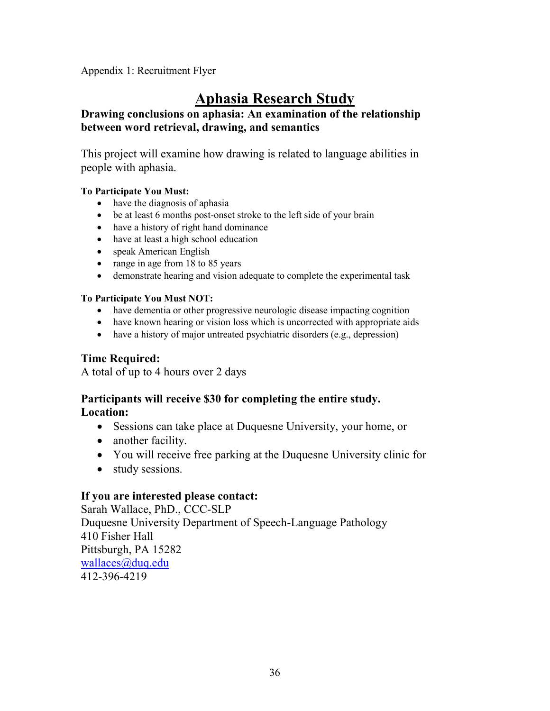Appendix 1: Recruitment Flyer

# **Aphasia Research Study**

# **Drawing conclusions on aphasia: An examination of the relationship between word retrieval, drawing, and semantics**

This project will examine how drawing is related to language abilities in people with aphasia.

# **To Participate You Must:**

- have the diagnosis of aphasia
- be at least 6 months post-onset stroke to the left side of your brain
- have a history of right hand dominance
- have at least a high school education
- speak American English
- range in age from 18 to 85 years
- demonstrate hearing and vision adequate to complete the experimental task

# **To Participate You Must NOT:**

- have dementia or other progressive neurologic disease impacting cognition
- have known hearing or vision loss which is uncorrected with appropriate aids
- have a history of major untreated psychiatric disorders (e.g., depression)

# **Time Required:**

A total of up to 4 hours over 2 days

# **Participants will receive \$30 for completing the entire study. Location:**

- Sessions can take place at Duquesne University, your home, or
- another facility.
- You will receive free parking at the Duquesne University clinic for
- study sessions.

# **If you are interested please contact:**

Sarah Wallace, PhD., CCC-SLP Duquesne University Department of Speech-Language Pathology 410 Fisher Hall Pittsburgh, PA 15282 [wallaces@duq.edu](mailto:wallaces@duq.edu) 412-396-4219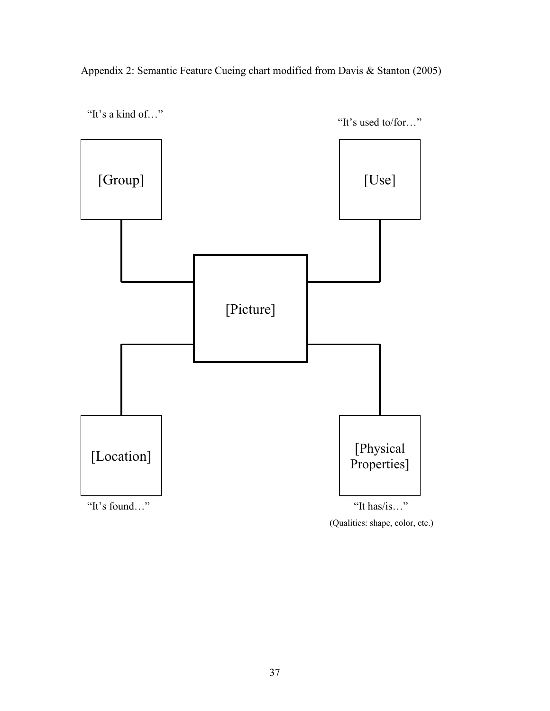Appendix 2: Semantic Feature Cueing chart modified from Davis & Stanton (2005)



(Qualities: shape, color, etc.)